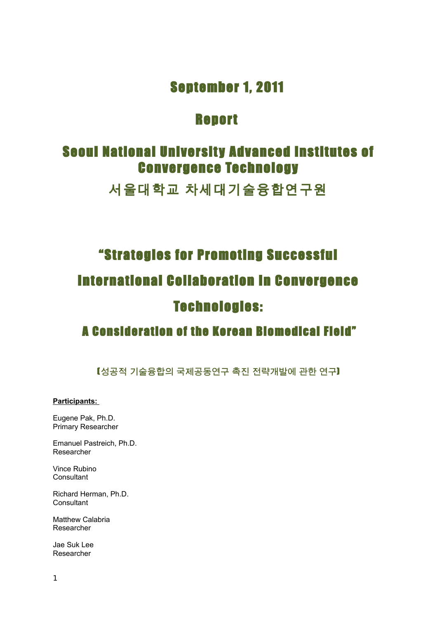## September 1, 2011

## **Report**

## **Seoul National University Advanced Institutes of Convergence Technology**

서울대학교 차세대기술융합연구원

# "Strategies for Promoting Successful International Collaboration In Convergence Techno logies:

## A Consideration of the Korean Biomedical Field"

(**성공적 기술융합의 국제공동연구 촉진 전략개발에 관한 연구**)

### **Participants:**

Eugene Pak, Ph.D. Primary Researcher

Emanuel Pastreich, Ph.D. Researcher

Vince Rubino **Consultant** 

Richard Herman, Ph.D. **Consultant** 

Matthew Calabria Researcher

Jae Suk Lee Researcher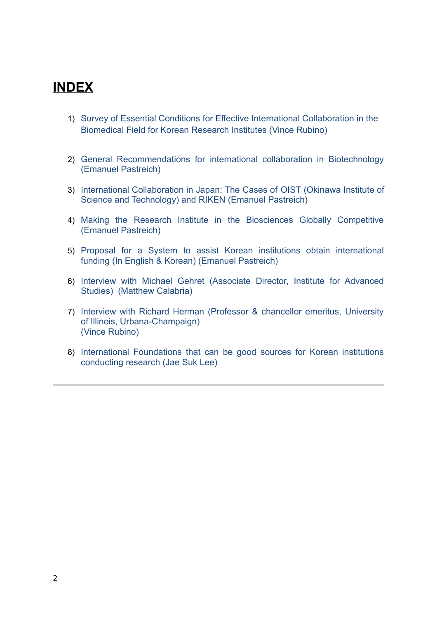## **INDEX**

- 1) Survey of Essential Conditions for Effective International Collaboration in the Biomedical Field for Korean Research Institutes (Vince Rubino)
- 2) General Recommendations for international collaboration in Biotechnology (Emanuel Pastreich)
- 3) International Collaboration in Japan: The Cases of OIST (Okinawa Institute of Science and Technology) and RIKEN (Emanuel Pastreich)
- 4) Making the Research Institute in the Biosciences Globally Competitive (Emanuel Pastreich)
- 5) Proposal for a System to assist Korean institutions obtain international funding (In English & Korean) (Emanuel Pastreich)
- 6) Interview with Michael Gehret (Associate Director, Institute for Advanced Studies) (Matthew Calabria)
- 7) Interview with Richard Herman (Professor & chancellor emeritus, University of Illinois, Urbana-Champaign) (Vince Rubino)
- 8) International Foundations that can be good sources for Korean institutions conducting research (Jae Suk Lee)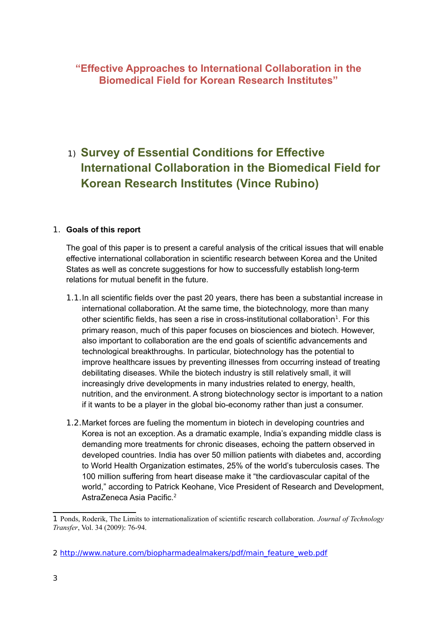## **"Effective Approaches to International Collaboration in the Biomedical Field for Korean Research Institutes"**

## 1) **Survey of Essential Conditions for Effective International Collaboration in the Biomedical Field for Korean Research Institutes (Vince Rubino)**

## 1. **Goals of this report**

The goal of this paper is to present a careful analysis of the critical issues that will enable effective international collaboration in scientific research between Korea and the United States as well as concrete suggestions for how to successfully establish long-term relations for mutual benefit in the future.

- 1.1.In all scientific fields over the past 20 years, there has been a substantial increase in international collaboration. At the same time, the biotechnology, more than many other scientific fields, has seen a rise in cross-institutional collaboration<sup>[1](#page-2-0)</sup>. For this primary reason, much of this paper focuses on biosciences and biotech. However, also important to collaboration are the end goals of scientific advancements and technological breakthroughs. In particular, biotechnology has the potential to improve healthcare issues by preventing illnesses from occurring instead of treating debilitating diseases. While the biotech industry is still relatively small, it will increasingly drive developments in many industries related to energy, health, nutrition, and the environment. A strong biotechnology sector is important to a nation if it wants to be a player in the global bio-economy rather than just a consumer.
- 1.2.Market forces are fueling the momentum in biotech in developing countries and Korea is not an exception. As a dramatic example, India's expanding middle class is demanding more treatments for chronic diseases, echoing the pattern observed in developed countries. India has over 50 million patients with diabetes and, according to World Health Organization estimates, 25% of the world's tuberculosis cases. The 100 million suffering from heart disease make it "the cardiovascular capital of the world," according to Patrick Keohane, Vice President of Research and Development, AstraZeneca Asia Pacific.<sup>[2](#page-2-1)</sup>

<span id="page-2-0"></span><sup>1</sup> Ponds, Roderik, The Limits to internationalization of scientific research collaboration. *Journal of Technology Transfer*, Vol. 34 (2009): 76-94.

<span id="page-2-1"></span><sup>2</sup> [http://www.nature.com/biopharmadealmakers/pdf/main\\_feature\\_web.pdf](http://www.nature.com/biopharmadealmakers/pdf/main_feature_web.pdf)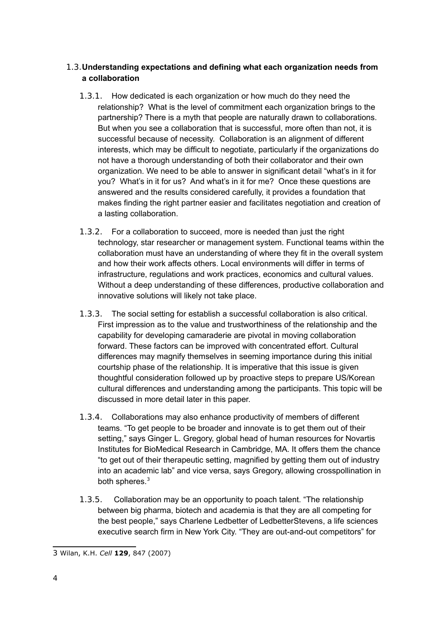## 1.3.**Understanding expectations and defining what each organization needs from a collaboration**

- 1.3.1. How dedicated is each organization or how much do they need the relationship? What is the level of commitment each organization brings to the partnership? There is a myth that people are naturally drawn to collaborations. But when you see a collaboration that is successful, more often than not, it is successful because of necessity. Collaboration is an alignment of different interests, which may be difficult to negotiate, particularly if the organizations do not have a thorough understanding of both their collaborator and their own organization. We need to be able to answer in significant detail "what's in it for you? What's in it for us? And what's in it for me? Once these questions are answered and the results considered carefully, it provides a foundation that makes finding the right partner easier and facilitates negotiation and creation of a lasting collaboration.
- 1.3.2. For a collaboration to succeed, more is needed than just the right technology, star researcher or management system. Functional teams within the collaboration must have an understanding of where they fit in the overall system and how their work affects others. Local environments will differ in terms of infrastructure, regulations and work practices, economics and cultural values. Without a deep understanding of these differences, productive collaboration and innovative solutions will likely not take place.
- 1.3.3. The social setting for establish a successful collaboration is also critical. First impression as to the value and trustworthiness of the relationship and the capability for developing camaraderie are pivotal in moving collaboration forward. These factors can be improved with concentrated effort. Cultural differences may magnify themselves in seeming importance during this initial courtship phase of the relationship. It is imperative that this issue is given thoughtful consideration followed up by proactive steps to prepare US/Korean cultural differences and understanding among the participants. This topic will be discussed in more detail later in this paper.
- 1.3.4. Collaborations may also enhance productivity of members of different teams. "To get people to be broader and innovate is to get them out of their setting," says Ginger L. Gregory, global head of human resources for Novartis Institutes for BioMedical Research in Cambridge, MA. It offers them the chance "to get out of their therapeutic setting, magnified by getting them out of industry into an academic lab" and vice versa, says Gregory, allowing crosspollination in both spheres.<sup>[3](#page-3-0)</sup>
- 1.3.5. Collaboration may be an opportunity to poach talent. "The relationship between big pharma, biotech and academia is that they are all competing for the best people," says Charlene Ledbetter of LedbetterStevens, a life sciences executive search firm in New York City. "They are out-and-out competitors" for

<span id="page-3-0"></span><sup>3</sup> Wilan, K.H. *Cell* **129**, 847 (2007)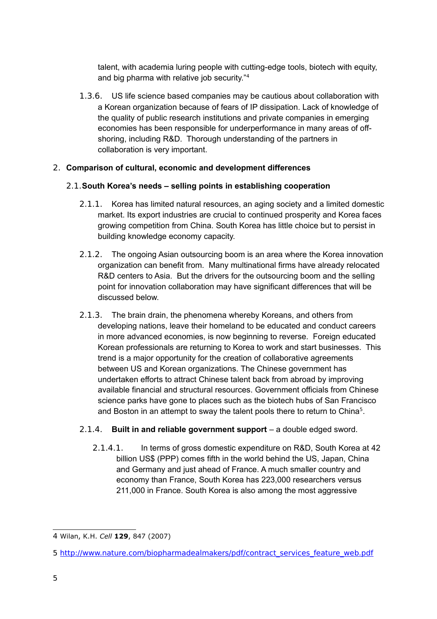talent, with academia luring people with cutting-edge tools, biotech with equity, and big pharma with relative job security."[4](#page-4-0)

1.3.6. US life science based companies may be cautious about collaboration with a Korean organization because of fears of IP dissipation. Lack of knowledge of the quality of public research institutions and private companies in emerging economies has been responsible for underperformance in many areas of offshoring, including R&D. Thorough understanding of the partners in collaboration is very important.

## 2. **Comparison of cultural, economic and development differences**

## 2.1.**South Korea's needs – selling points in establishing cooperation**

- 2.1.1. Korea has limited natural resources, an aging society and a limited domestic market. Its export industries are crucial to continued prosperity and Korea faces growing competition from China. South Korea has little choice but to persist in building knowledge economy capacity.
- 2.1.2. The ongoing Asian outsourcing boom is an area where the Korea innovation organization can benefit from. Many multinational firms have already relocated R&D centers to Asia. But the drivers for the outsourcing boom and the selling point for innovation collaboration may have significant differences that will be discussed below.
- 2.1.3. The brain drain, the phenomena whereby Koreans, and others from developing nations, leave their homeland to be educated and conduct careers in more advanced economies, is now beginning to reverse. Foreign educated Korean professionals are returning to Korea to work and start businesses. This trend is a major opportunity for the creation of collaborative agreements between US and Korean organizations. The Chinese government has undertaken efforts to attract Chinese talent back from abroad by improving available financial and structural resources. Government officials from Chinese science parks have gone to places such as the biotech hubs of San Francisco and Boston in an attempt to sway the talent pools there to return to China<sup>[5](#page-4-1)</sup>.

## 2.1.4. **Built in and reliable government support** – a double edged sword.

2.1.4.1. In terms of gross domestic expenditure on R&D, South Korea at 42 billion US\$ (PPP) comes fifth in the world behind the US, Japan, China and Germany and just ahead of France. A much smaller country and economy than France, South Korea has 223,000 researchers versus 211,000 in France. South Korea is also among the most aggressive

<span id="page-4-0"></span><sup>4</sup> Wilan, K.H. *Cell* **129**, 847 (2007)

<span id="page-4-1"></span><sup>5</sup> [http://www.nature.com/biopharmadealmakers/pdf/contract\\_services\\_feature\\_web.pdf](http://www.nature.com/biopharmadealmakers/pdf/contract_services_feature_web.pdf)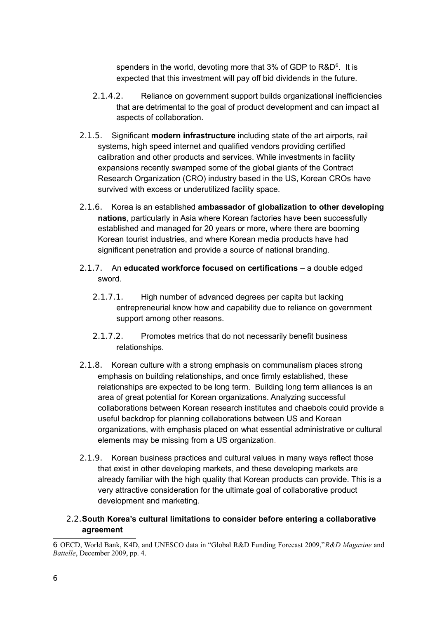spenders in the world, devoting more that 3% of GDP to  $R&D<sup>6</sup>$  $R&D<sup>6</sup>$  $R&D<sup>6</sup>$ . It is expected that this investment will pay off bid dividends in the future.

- 2.1.4.2. Reliance on government support builds organizational inefficiencies that are detrimental to the goal of product development and can impact all aspects of collaboration.
- 2.1.5. Significant **modern infrastructure** including state of the art airports, rail systems, high speed internet and qualified vendors providing certified calibration and other products and services. While investments in facility expansions recently swamped some of the global giants of the Contract Research Organization (CRO) industry based in the US, Korean CROs have survived with excess or underutilized facility space.
- 2.1.6. Korea is an established **ambassador of globalization to other developing nations**, particularly in Asia where Korean factories have been successfully established and managed for 20 years or more, where there are booming Korean tourist industries, and where Korean media products have had significant penetration and provide a source of national branding.
- 2.1.7. An **educated workforce focused on certifications** a double edged sword.
	- 2.1.7.1. High number of advanced degrees per capita but lacking entrepreneurial know how and capability due to reliance on government support among other reasons.
	- 2.1.7.2. Promotes metrics that do not necessarily benefit business relationships.
- 2.1.8. Korean culture with a strong emphasis on communalism places strong emphasis on building relationships, and once firmly established, these relationships are expected to be long term. Building long term alliances is an area of great potential for Korean organizations. Analyzing successful collaborations between Korean research institutes and chaebols could provide a useful backdrop for planning collaborations between US and Korean organizations, with emphasis placed on what essential administrative or cultural elements may be missing from a US organization.
- 2.1.9. Korean business practices and cultural values in many ways reflect those that exist in other developing markets, and these developing markets are already familiar with the high quality that Korean products can provide. This is a very attractive consideration for the ultimate goal of collaborative product development and marketing.
- 2.2.**South Korea's cultural limitations to consider before entering a collaborative agreement**

<span id="page-5-0"></span><sup>6</sup> OECD, World Bank, K4D, and UNESCO data in "Global R&D Funding Forecast 2009,"*R&D Magazine* and *Battelle*, December 2009, pp. 4.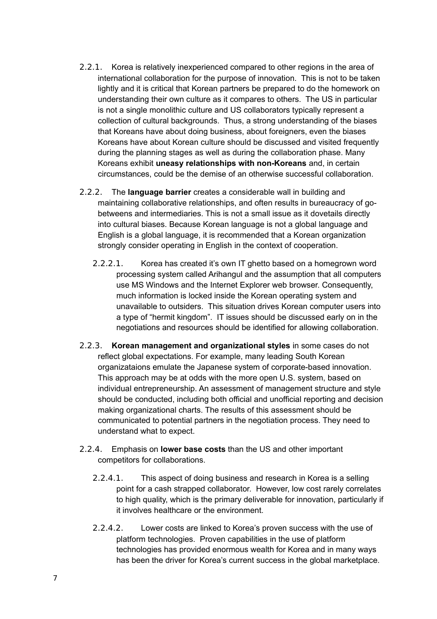- 2.2.1. Korea is relatively inexperienced compared to other regions in the area of international collaboration for the purpose of innovation. This is not to be taken lightly and it is critical that Korean partners be prepared to do the homework on understanding their own culture as it compares to others. The US in particular is not a single monolithic culture and US collaborators typically represent a collection of cultural backgrounds. Thus, a strong understanding of the biases that Koreans have about doing business, about foreigners, even the biases Koreans have about Korean culture should be discussed and visited frequently during the planning stages as well as during the collaboration phase. Many Koreans exhibit **uneasy relationships with non-Koreans** and, in certain circumstances, could be the demise of an otherwise successful collaboration.
- 2.2.2. The **language barrier** creates a considerable wall in building and maintaining collaborative relationships, and often results in bureaucracy of gobetweens and intermediaries. This is not a small issue as it dovetails directly into cultural biases. Because Korean language is not a global language and English is a global language, it is recommended that a Korean organization strongly consider operating in English in the context of cooperation.
	- 2.2.2.1. Korea has created it's own IT ghetto based on a homegrown word processing system called Arihangul and the assumption that all computers use MS Windows and the Internet Explorer web browser. Consequently, much information is locked inside the Korean operating system and unavailable to outsiders. This situation drives Korean computer users into a type of "hermit kingdom". IT issues should be discussed early on in the negotiations and resources should be identified for allowing collaboration.
- 2.2.3. **Korean management and organizational styles** in some cases do not reflect global expectations. For example, many leading South Korean organizataions emulate the Japanese system of corporate-based innovation. This approach may be at odds with the more open U.S. system, based on individual entrepreneurship. An assessment of management structure and style should be conducted, including both official and unofficial reporting and decision making organizational charts. The results of this assessment should be communicated to potential partners in the negotiation process. They need to understand what to expect.
- 2.2.4. Emphasis on **lower base costs** than the US and other important competitors for collaborations.
	- 2.2.4.1. This aspect of doing business and research in Korea is a selling point for a cash strapped collaborator. However, low cost rarely correlates to high quality, which is the primary deliverable for innovation, particularly if it involves healthcare or the environment.
	- 2.2.4.2. Lower costs are linked to Korea's proven success with the use of platform technologies. Proven capabilities in the use of platform technologies has provided enormous wealth for Korea and in many ways has been the driver for Korea's current success in the global marketplace.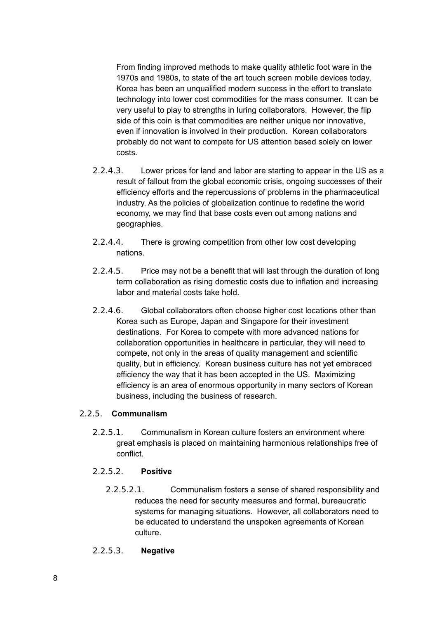From finding improved methods to make quality athletic foot ware in the 1970s and 1980s, to state of the art touch screen mobile devices today, Korea has been an unqualified modern success in the effort to translate technology into lower cost commodities for the mass consumer. It can be very useful to play to strengths in luring collaborators. However, the flip side of this coin is that commodities are neither unique nor innovative, even if innovation is involved in their production. Korean collaborators probably do not want to compete for US attention based solely on lower costs.

- 2.2.4.3. Lower prices for land and labor are starting to appear in the US as a result of fallout from the global economic crisis, ongoing successes of their efficiency efforts and the repercussions of problems in the pharmaceutical industry. As the policies of globalization continue to redefine the world economy, we may find that base costs even out among nations and geographies.
- 2.2.4.4. There is growing competition from other low cost developing nations.
- 2.2.4.5. Price may not be a benefit that will last through the duration of long term collaboration as rising domestic costs due to inflation and increasing labor and material costs take hold.
- 2.2.4.6. Global collaborators often choose higher cost locations other than Korea such as Europe, Japan and Singapore for their investment destinations. For Korea to compete with more advanced nations for collaboration opportunities in healthcare in particular, they will need to compete, not only in the areas of quality management and scientific quality, but in efficiency. Korean business culture has not yet embraced efficiency the way that it has been accepted in the US. Maximizing efficiency is an area of enormous opportunity in many sectors of Korean business, including the business of research.

### 2.2.5. **Communalism**

2.2.5.1. Communalism in Korean culture fosters an environment where great emphasis is placed on maintaining harmonious relationships free of conflict.

### 2.2.5.2. **Positive**

2.2.5.2.1. Communalism fosters a sense of shared responsibility and reduces the need for security measures and formal, bureaucratic systems for managing situations. However, all collaborators need to be educated to understand the unspoken agreements of Korean culture.

## 2.2.5.3. **Negative**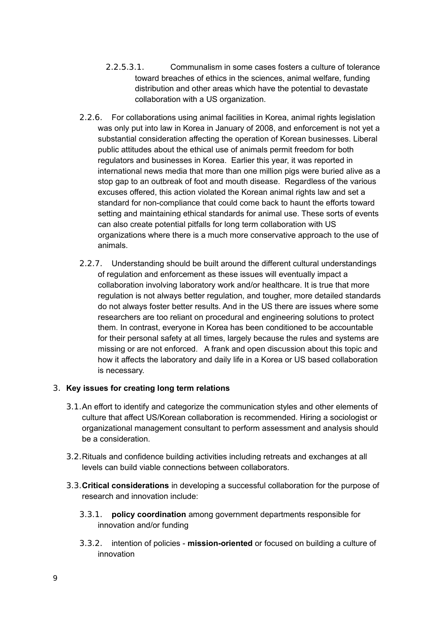- 2.2.5.3.1. Communalism in some cases fosters a culture of tolerance toward breaches of ethics in the sciences, animal welfare, funding distribution and other areas which have the potential to devastate collaboration with a US organization.
- 2.2.6. For collaborations using animal facilities in Korea, animal rights legislation was only put into law in Korea in January of 2008, and enforcement is not yet a substantial consideration affecting the operation of Korean businesses. Liberal public attitudes about the ethical use of animals permit freedom for both regulators and businesses in Korea. Earlier this year, it was reported in international news media that more than one million pigs were buried alive as a stop gap to an outbreak of foot and mouth disease. Regardless of the various excuses offered, this action violated the Korean animal rights law and set a standard for non-compliance that could come back to haunt the efforts toward setting and maintaining ethical standards for animal use. These sorts of events can also create potential pitfalls for long term collaboration with US organizations where there is a much more conservative approach to the use of animals.
- 2.2.7. Understanding should be built around the different cultural understandings of regulation and enforcement as these issues will eventually impact a collaboration involving laboratory work and/or healthcare. It is true that more regulation is not always better regulation, and tougher, more detailed standards do not always foster better results. And in the US there are issues where some researchers are too reliant on procedural and engineering solutions to protect them. In contrast, everyone in Korea has been conditioned to be accountable for their personal safety at all times, largely because the rules and systems are missing or are not enforced. A frank and open discussion about this topic and how it affects the laboratory and daily life in a Korea or US based collaboration is necessary.

## 3. **Key issues for creating long term relations**

- 3.1.An effort to identify and categorize the communication styles and other elements of culture that affect US/Korean collaboration is recommended. Hiring a sociologist or organizational management consultant to perform assessment and analysis should be a consideration.
- 3.2.Rituals and confidence building activities including retreats and exchanges at all levels can build viable connections between collaborators.
- 3.3.**Critical considerations** in developing a successful collaboration for the purpose of research and innovation include:
	- 3.3.1. **policy coordination** among government departments responsible for innovation and/or funding
	- 3.3.2. intention of policies **mission-oriented** or focused on building a culture of innovation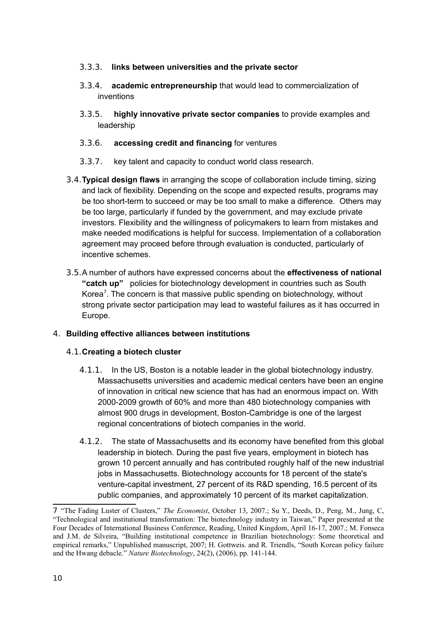## 3.3.3. **links between universities and the private sector**

- 3.3.4. **academic entrepreneurship** that would lead to commercialization of inventions
- 3.3.5. **highly innovative private sector companies** to provide examples and leadership
- 3.3.6. **accessing credit and financing** for ventures
- 3.3.7. key talent and capacity to conduct world class research.
- 3.4.**Typical design flaws** in arranging the scope of collaboration include timing, sizing and lack of flexibility. Depending on the scope and expected results, programs may be too short-term to succeed or may be too small to make a difference. Others may be too large, particularly if funded by the government, and may exclude private investors. Flexibility and the willingness of policymakers to learn from mistakes and make needed modifications is helpful for success. Implementation of a collaboration agreement may proceed before through evaluation is conducted, particularly of incentive schemes.
- 3.5.A number of authors have expressed concerns about the **effectiveness of national "catch up"** policies for biotechnology development in countries such as South Korea<sup>[7](#page-9-0)</sup>. The concern is that massive public spending on biotechnology, without strong private sector participation may lead to wasteful failures as it has occurred in Europe.

## 4. **Building effective alliances between institutions**

## 4.1.**Creating a biotech cluster**

- 4.1.1. In the US, Boston is a notable leader in the global biotechnology industry. Massachusetts universities and academic medical centers have been an engine of innovation in critical new science that has had an enormous impact on. With 2000-2009 growth of 60% and more than 480 biotechnology companies with almost 900 drugs in development, Boston-Cambridge is one of the largest regional concentrations of biotech companies in the world.
- 4.1.2. The state of Massachusetts and its economy have benefited from this global leadership in biotech. During the past five years, employment in biotech has grown 10 percent annually and has contributed roughly half of the new industrial jobs in Massachusetts. Biotechnology accounts for 18 percent of the state's venture-capital investment, 27 percent of its R&D spending, 16.5 percent of its public companies, and approximately 10 percent of its market capitalization.

<span id="page-9-0"></span><sup>7</sup> "The Fading Luster of Clusters," *The Economist*, October 13, 2007.; Su Y., Deeds, D., Peng, M., Jung, C, "Technological and institutional transformation: The biotechnology industry in Taiwan," Paper presented at the Four Decades of International Business Conference, Reading, United Kingdom, April 16-17, 2007.; M. Fonseca and J.M. de Silveira, "Building institutional competence in Brazilian biotechnology: Some theoretical and empirical remarks," Unpublished manuscript, 2007; H. Gottweis. and R. Triendls, "South Korean policy failure and the Hwang debacle." *Nature Biotechnology*, 24(2), (2006), pp. 141-144.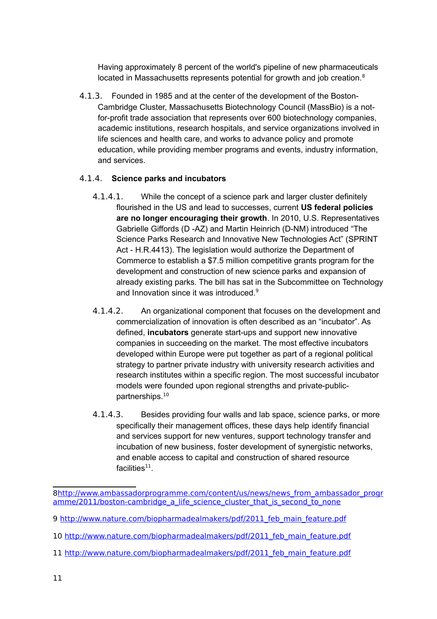Having approximately 8 percent of the world's pipeline of new pharmaceuticals located in Massachusetts represents potential for growth and job creation.<sup>[8](#page-10-0)</sup>

4.1.3. Founded in 1985 and at the center of the development of the Boston-Cambridge Cluster, Massachusetts Biotechnology Council (MassBio) is a notfor-profit trade association that represents over 600 biotechnology companies, academic institutions, research hospitals, and service organizations involved in life sciences and health care, and works to advance policy and promote education, while providing member programs and events, industry information, and services.

## 4.1.4. **Science parks and incubators**

- 4.1.4.1. While the concept of a science park and larger cluster definitely flourished in the US and lead to successes, current **US federal policies are no longer encouraging their growth**. In 2010, U.S. Representatives Gabrielle Giffords (D -AZ) and Martin Heinrich (D-NM) introduced "The Science Parks Research and Innovative New Technologies Act" (SPRINT Act - H.R.4413). The legislation would authorize the Department of Commerce to establish a \$7.5 million competitive grants program for the development and construction of new science parks and expansion of already existing parks. The bill has sat in the Subcommittee on Technology and Innovation since it was introduced.<sup>[9](#page-10-1)</sup>
- 4.1.4.2. An organizational component that focuses on the development and commercialization of innovation is often described as an "incubator". As defined, **incubators** generate start-ups and support new innovative companies in succeeding on the market. The most effective incubators developed within Europe were put together as part of a regional political strategy to partner private industry with university research activities and research institutes within a specific region. The most successful incubator models were founded upon regional strengths and private-public-partnerships.<sup>[10](#page-10-2)</sup>
- 4.1.4.3. Besides providing four walls and lab space, science parks, or more specifically their management offices, these days help identify financial and services support for new ventures, support technology transfer and incubation of new business, foster development of synergistic networks, and enable access to capital and construction of shared resource facilities $^{11}$  $^{11}$  $^{11}$ .

<span id="page-10-0"></span>[<sup>8</sup>http://www.ambassadorprogramme.com/content/us/news/news\\_from\\_ambassador\\_progr](http://www.ambassadorprogramme.com/content/us/news/news_from_ambassador_programme/2011/boston-cambridge_a_life_science_cluster_that_is_second_to_none) amme/2011/boston-cambridge a life science cluster that is second to none

<span id="page-10-1"></span><sup>9</sup> http://www.nature.com/biopharmadealmakers/pdf/2011 feb\_main\_feature.pdf

<span id="page-10-2"></span><sup>10</sup> [http://www.nature.com/biopharmadealmakers/pdf/2011\\_feb\\_main\\_feature.pdf](http://www.nature.com/biopharmadealmakers/pdf/2011_feb_main_feature.pdf)

<span id="page-10-3"></span><sup>11</sup> [http://www.nature.com/biopharmadealmakers/pdf/2011\\_feb\\_main\\_feature.pdf](http://www.nature.com/biopharmadealmakers/pdf/2011_feb_main_feature.pdf)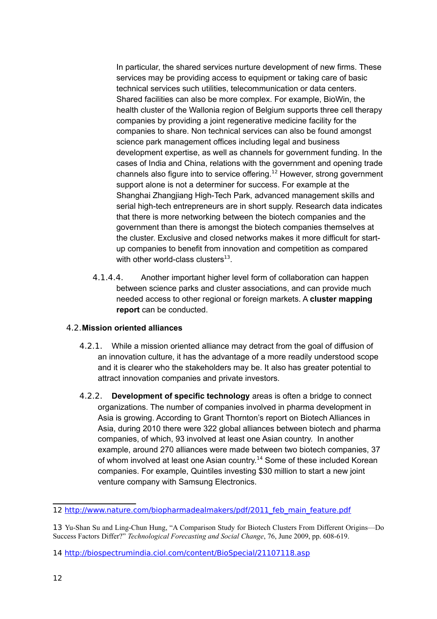In particular, the shared services nurture development of new firms. These services may be providing access to equipment or taking care of basic technical services such utilities, telecommunication or data centers. Shared facilities can also be more complex. For example, BioWin, the health cluster of the Wallonia region of Belgium supports three cell therapy companies by providing a joint regenerative medicine facility for the companies to share. Non technical services can also be found amongst science park management offices including legal and business development expertise, as well as channels for government funding. In the cases of India and China, relations with the government and opening trade channels also figure into to service offering.<sup>[12](#page-11-0)</sup> However, strong government support alone is not a determiner for success. For example at the Shanghai Zhangjiang High-Tech Park, advanced management skills and serial high-tech entrepreneurs are in short supply. Research data indicates that there is more networking between the biotech companies and the government than there is amongst the biotech companies themselves at the cluster. Exclusive and closed networks makes it more difficult for startup companies to benefit from innovation and competition as compared with other world-class clusters $^{13}$  $^{13}$  $^{13}$ .

4.1.4.4. Another important higher level form of collaboration can happen between science parks and cluster associations, and can provide much needed access to other regional or foreign markets. A **cluster mapping report** can be conducted.

## 4.2.**Mission oriented alliances**

- 4.2.1. While a mission oriented alliance may detract from the goal of diffusion of an innovation culture, it has the advantage of a more readily understood scope and it is clearer who the stakeholders may be. It also has greater potential to attract innovation companies and private investors.
- 4.2.2. **Development of specific technology** areas is often a bridge to connect organizations. The number of companies involved in pharma development in Asia is growing. According to Grant Thornton's report on Biotech Alliances in Asia, during 2010 there were 322 global alliances between biotech and pharma companies, of which, 93 involved at least one Asian country. In another example, around 270 alliances were made between two biotech companies, 37 of whom involved at least one Asian country.<sup>[14](#page-11-2)</sup> Some of these included Korean companies. For example, Quintiles investing \$30 million to start a new joint venture company with Samsung Electronics.

<span id="page-11-0"></span><sup>12</sup> http://www.nature.com/biopharmadealmakers/pdf/2011 feb main feature.pdf

<span id="page-11-1"></span><sup>13</sup> Yu-Shan Su and Ling-Chun Hung, "A Comparison Study for Biotech Clusters From Different Origins—Do Success Factors Differ?" *Technological Forecasting and Social Change*, 76, June 2009, pp. 608-619.

<span id="page-11-2"></span><sup>14</sup> <http://biospectrumindia.ciol.com/content/BioSpecial/21107118.asp>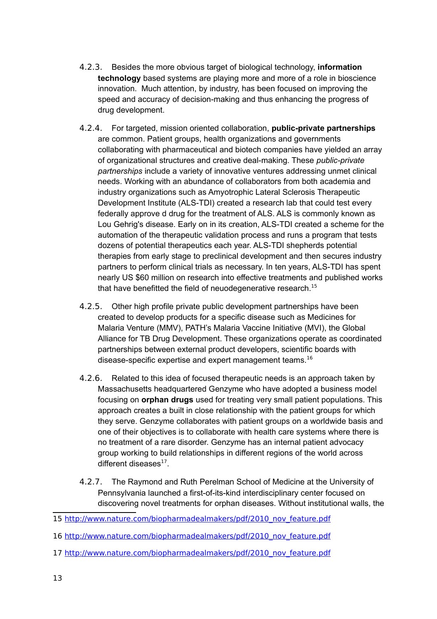- 4.2.3. Besides the more obvious target of biological technology, **information technology** based systems are playing more and more of a role in bioscience innovation. Much attention, by industry, has been focused on improving the speed and accuracy of decision-making and thus enhancing the progress of drug development.
- 4.2.4. For targeted, mission oriented collaboration, **public-private partnerships** are common. Patient groups, health organizations and governments collaborating with pharmaceutical and biotech companies have yielded an array of organizational structures and creative deal-making. These *public-private partnerships* include a variety of innovative ventures addressing unmet clinical needs. Working with an abundance of collaborators from both academia and industry organizations such as Amyotrophic Lateral Sclerosis Therapeutic Development Institute (ALS-TDI) created a research lab that could test every federally approve d drug for the treatment of ALS. ALS is commonly known as Lou Gehrig's disease. Early on in its creation, ALS-TDI created a scheme for the automation of the therapeutic validation process and runs a program that tests dozens of potential therapeutics each year. ALS-TDI shepherds potential therapies from early stage to preclinical development and then secures industry partners to perform clinical trials as necessary. In ten years, ALS-TDI has spent nearly US \$60 million on research into effective treatments and published works that have benefitted the field of neuodegenerative research. $15$
- 4.2.5. Other high profile private public development partnerships have been created to develop products for a specific disease such as Medicines for Malaria Venture (MMV), PATH's Malaria Vaccine Initiative (MVI), the Global Alliance for TB Drug Development. These organizations operate as coordinated partnerships between external product developers, scientific boards with disease-specific expertise and expert management teams.[16](#page-12-1)
- 4.2.6. Related to this idea of focused therapeutic needs is an approach taken by Massachusetts headquartered Genzyme who have adopted a business model focusing on **orphan drugs** used for treating very small patient populations. This approach creates a built in close relationship with the patient groups for which they serve. Genzyme collaborates with patient groups on a worldwide basis and one of their objectives is to collaborate with health care systems where there is no treatment of a rare disorder. Genzyme has an internal patient advocacy group working to build relationships in different regions of the world across different diseases<sup>[17](#page-12-2)</sup>.
- 4.2.7. The Raymond and Ruth Perelman School of Medicine at the University of Pennsylvania launched a first-of-its-kind interdisciplinary center focused on discovering novel treatments for orphan diseases. Without institutional walls, the

<span id="page-12-2"></span>17 [http://www.nature.com/biopharmadealmakers/pdf/2010\\_nov\\_feature.pdf](http://www.nature.com/biopharmadealmakers/pdf/2010_nov_feature.pdf)

<span id="page-12-0"></span><sup>15</sup> [http://www.nature.com/biopharmadealmakers/pdf/2010\\_nov\\_feature.pdf](http://www.nature.com/biopharmadealmakers/pdf/2010_nov_feature.pdf)

<span id="page-12-1"></span><sup>16</sup> [http://www.nature.com/biopharmadealmakers/pdf/2010\\_nov\\_feature.pdf](http://www.nature.com/biopharmadealmakers/pdf/2010_nov_feature.pdf)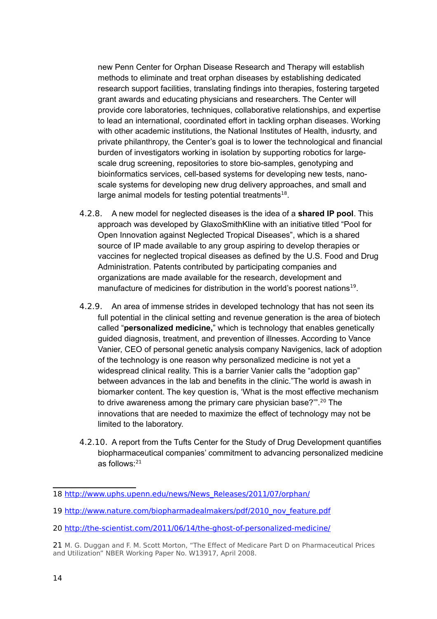new Penn Center for Orphan Disease Research and Therapy will establish methods to eliminate and treat orphan diseases by establishing dedicated research support facilities, translating findings into therapies, fostering targeted grant awards and educating physicians and researchers. The Center will provide core laboratories, techniques, collaborative relationships, and expertise to lead an international, coordinated effort in tackling orphan diseases. Working with other academic institutions, the National Institutes of Health, indusrty, and private philanthropy, the Center's goal is to lower the technological and financial burden of investigators working in isolation by supporting robotics for largescale drug screening, repositories to store bio-samples, genotyping and bioinformatics services, cell-based systems for developing new tests, nanoscale systems for developing new drug delivery approaches, and small and large animal models for testing potential treatments $^{18}$  $^{18}$  $^{18}$ .

- 4.2.8. A new model for neglected diseases is the idea of a **shared IP pool**. This approach was developed by GlaxoSmithKline with an initiative titled "Pool for Open Innovation against Neglected Tropical Diseases", which is a shared source of IP made available to any group aspiring to develop therapies or vaccines for neglected tropical diseases as defined by the U.S. Food and Drug Administration. Patents contributed by participating companies and organizations are made available for the research, development and manufacture of medicines for distribution in the world's poorest nations<sup>[19](#page-13-1)</sup>.
- 4.2.9. An area of immense strides in developed technology that has not seen its full potential in the clinical setting and revenue generation is the area of biotech called "**personalized medicine,**" which is technology that enables genetically guided diagnosis, treatment, and prevention of illnesses. According to Vance Vanier, CEO of personal genetic analysis company Navigenics, lack of adoption of the technology is one reason why personalized medicine is not yet a widespread clinical reality. This is a barrier Vanier calls the "adoption gap" between advances in the lab and benefits in the clinic."The world is awash in biomarker content. The key question is, 'What is the most effective mechanism to drive awareness among the primary care physician base?".<sup>[20](#page-13-2)</sup> The innovations that are needed to maximize the effect of technology may not be limited to the laboratory.
- 4.2.10. A report from the Tufts Center for the Study of Drug Development quantifies biopharmaceutical companies' commitment to advancing personalized medicine as follows:[21](#page-13-3)

<span id="page-13-0"></span><sup>18</sup> [http://www.uphs.upenn.edu/news/News\\_Releases/2011/07/orphan/](http://www.uphs.upenn.edu/news/News_Releases/2011/07/orphan/)

<span id="page-13-1"></span><sup>19</sup> [http://www.nature.com/biopharmadealmakers/pdf/2010\\_nov\\_feature.pdf](http://www.nature.com/biopharmadealmakers/pdf/2010_nov_feature.pdf)

<span id="page-13-2"></span><sup>20</sup> <http://the-scientist.com/2011/06/14/the-ghost-of-personalized-medicine/>

<span id="page-13-3"></span><sup>21</sup> M. G. Duggan and F. M. Scott Morton, "The Effect of Medicare Part D on Pharmaceutical Prices and Utilization" NBER Working Paper No. W13917, April 2008.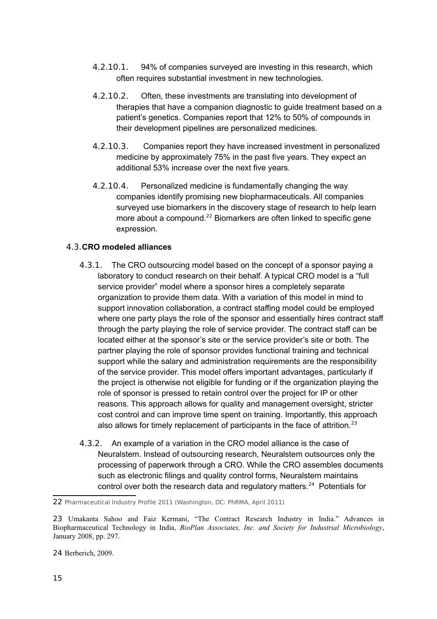- 4.2.10.1. 94% of companies surveyed are investing in this research, which often requires substantial investment in new technologies.
- 4.2.10.2. Often, these investments are translating into development of therapies that have a companion diagnostic to guide treatment based on a patient's genetics. Companies report that 12% to 50% of compounds in their development pipelines are personalized medicines.
- 4.2.10.3. Companies report they have increased investment in personalized medicine by approximately 75% in the past five years. They expect an additional 53% increase over the next five years.
- 4.2.10.4. Personalized medicine is fundamentally changing the way companies identify promising new biopharmaceuticals. All companies surveyed use biomarkers in the discovery stage of research to help learn more about a compound.<sup>[22](#page-14-0)</sup> Biomarkers are often linked to specific gene expression.

## 4.3.**CRO modeled alliances**

- 4.3.1. The CRO outsourcing model based on the concept of a sponsor paying a laboratory to conduct research on their behalf. A typical CRO model is a "full service provider" model where a sponsor hires a completely separate organization to provide them data. With a variation of this model in mind to support innovation collaboration, a contract staffing model could be employed where one party plays the role of the sponsor and essentially hires contract staff through the party playing the role of service provider. The contract staff can be located either at the sponsor's site or the service provider's site or both. The partner playing the role of sponsor provides functional training and technical support while the salary and administration requirements are the responsibility of the service provider. This model offers important advantages, particularly if the project is otherwise not eligible for funding or if the organization playing the role of sponsor is pressed to retain control over the project for IP or other reasons. This approach allows for quality and management oversight, stricter cost control and can improve time spent on training. Importantly, this approach also allows for timely replacement of participants in the face of attrition.<sup>[23](#page-14-1)</sup>
- 4.3.2. An example of a variation in the CRO model alliance is the case of Neuralstem. Instead of outsourcing research, Neuralstem outsources only the processing of paperwork through a CRO. While the CRO assembles documents such as electronic filings and quality control forms, Neuralstem maintains control over both the research data and regulatory matters.<sup>[24](#page-14-2)</sup> Potentials for

<span id="page-14-0"></span><sup>22</sup> Pharmaceutical Industry Profile 2011 (Washington, DC: PhRMA, April 2011)

<span id="page-14-1"></span><sup>23</sup> Umakanta Sahoo and Faiz Kermani, "The Contract Research Industry in India." Advances in Biopharmaceutical Technology in India, *BioPlan Associates, Inc. and Society for Industrial Microbiology*, January 2008, pp. 297.

<span id="page-14-2"></span><sup>24</sup> Berberich, 2009.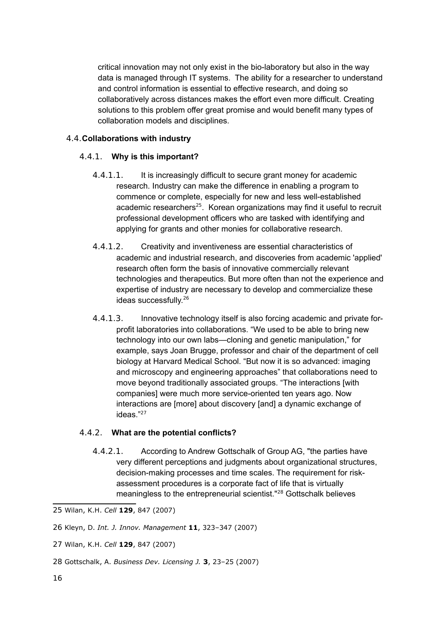critical innovation may not only exist in the bio-laboratory but also in the way data is managed through IT systems. The ability for a researcher to understand and control information is essential to effective research, and doing so collaboratively across distances makes the effort even more difficult. Creating solutions to this problem offer great promise and would benefit many types of collaboration models and disciplines.

## 4.4.**Collaborations with industry**

## 4.4.1. **Why is this important?**

- 4.4.1.1. It is increasingly difficult to secure grant money for academic research. Industry can make the difference in enabling a program to commence or complete, especially for new and less well-established academic researchers<sup>[25](#page-15-0)</sup>. Korean organizations may find it useful to recruit professional development officers who are tasked with identifying and applying for grants and other monies for collaborative research.
- 4.4.1.2. Creativity and inventiveness are essential characteristics of academic and industrial research, and discoveries from academic 'applied' research often form the basis of innovative commercially relevant technologies and therapeutics. But more often than not the experience and expertise of industry are necessary to develop and commercialize these ideas successfully.<sup>[26](#page-15-1)</sup>
- 4.4.1.3. Innovative technology itself is also forcing academic and private forprofit laboratories into collaborations. "We used to be able to bring new technology into our own labs—cloning and genetic manipulation," for example, says Joan Brugge, professor and chair of the department of cell biology at Harvard Medical School. "But now it is so advanced: imaging and microscopy and engineering approaches" that collaborations need to move beyond traditionally associated groups. "The interactions [with companies] were much more service-oriented ten years ago. Now interactions are [more] about discovery [and] a dynamic exchange of ideas."[27](#page-15-2)

### 4.4.2. **What are the potential conflicts?**

4.4.2.1. According to Andrew Gottschalk of Group AG, "the parties have very different perceptions and judgments about organizational structures, decision-making processes and time scales. The requirement for riskassessment procedures is a corporate fact of life that is virtually meaningless to the entrepreneurial scientist."<sup>[28](#page-15-3)</sup> Gottschalk believes

- <span id="page-15-2"></span>27 Wilan, K.H. *Cell* **129**, 847 (2007)
- <span id="page-15-3"></span>28 Gottschalk, A. *Business Dev. Licensing J.* **3**, 23–25 (2007)

<span id="page-15-0"></span><sup>25</sup> Wilan, K.H. *Cell* **129**, 847 (2007)

<span id="page-15-1"></span><sup>26</sup> Kleyn, D. *Int. J. Innov. Management* **11**, 323–347 (2007)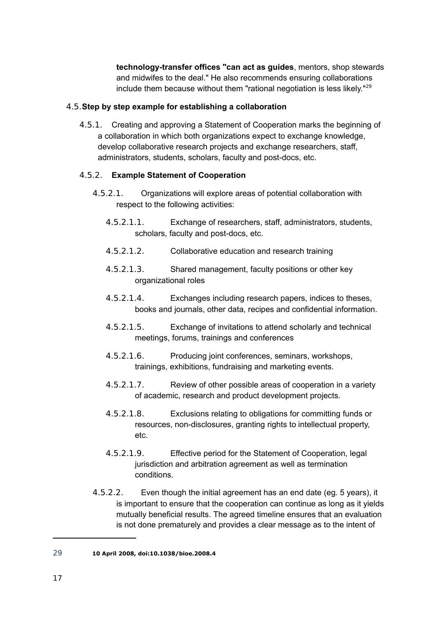**technology-transfer offices "can act as guides**, mentors, shop stewards and midwifes to the deal." He also recommends ensuring collaborations include them because without them "rational negotiation is less likely." $29$ 

## 4.5.**Step by step example for establishing a collaboration**

4.5.1. Creating and approving a Statement of Cooperation marks the beginning of a collaboration in which both organizations expect to exchange knowledge, develop collaborative research projects and exchange researchers, staff, administrators, students, scholars, faculty and post-docs, etc.

## 4.5.2. **Example Statement of Cooperation**

- 4.5.2.1. Organizations will explore areas of potential collaboration with respect to the following activities:
	- 4.5.2.1.1. Exchange of researchers, staff, administrators, students, scholars, faculty and post-docs, etc.
	- 4.5.2.1.2. Collaborative education and research training
	- 4.5.2.1.3. Shared management, faculty positions or other key organizational roles
	- 4.5.2.1.4. Exchanges including research papers, indices to theses, books and journals, other data, recipes and confidential information.
	- 4.5.2.1.5. Exchange of invitations to attend scholarly and technical meetings, forums, trainings and conferences
	- 4.5.2.1.6. Producing joint conferences, seminars, workshops, trainings, exhibitions, fundraising and marketing events.
	- 4.5.2.1.7. Review of other possible areas of cooperation in a variety of academic, research and product development projects.
	- 4.5.2.1.8. Exclusions relating to obligations for committing funds or resources, non-disclosures, granting rights to intellectual property, etc.
	- 4.5.2.1.9. Effective period for the Statement of Cooperation, legal jurisdiction and arbitration agreement as well as termination conditions.
- 4.5.2.2. Even though the initial agreement has an end date (eg. 5 years), it is important to ensure that the cooperation can continue as long as it yields mutually beneficial results. The agreed timeline ensures that an evaluation is not done prematurely and provides a clear message as to the intent of

<span id="page-16-0"></span><sup>29</sup> **10 April 2008, doi:10.1038/bioe.2008.4**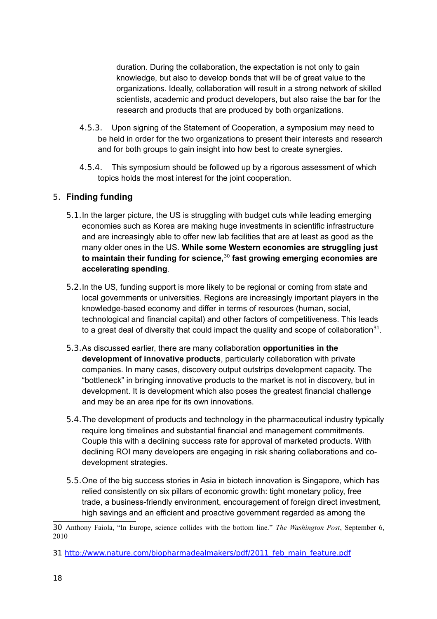duration. During the collaboration, the expectation is not only to gain knowledge, but also to develop bonds that will be of great value to the organizations. Ideally, collaboration will result in a strong network of skilled scientists, academic and product developers, but also raise the bar for the research and products that are produced by both organizations.

- 4.5.3. Upon signing of the Statement of Cooperation, a symposium may need to be held in order for the two organizations to present their interests and research and for both groups to gain insight into how best to create synergies.
- 4.5.4. This symposium should be followed up by a rigorous assessment of which topics holds the most interest for the joint cooperation.

## 5. **Finding funding**

- 5.1.In the larger picture, the US is struggling with budget cuts while leading emerging economies such as Korea are making huge investments in scientific infrastructure and are increasingly able to offer new lab facilities that are at least as good as the many older ones in the US. **While some Western economies are struggling just to maintain their funding for science,**[30](#page-17-0) **fast growing emerging economies are accelerating spending**.
- 5.2.In the US, funding support is more likely to be regional or coming from state and local governments or universities. Regions are increasingly important players in the knowledge-based economy and differ in terms of resources (human, social, technological and financial capital) and other factors of competitiveness. This leads to a great deal of diversity that could impact the quality and scope of collaboration<sup>[31](#page-17-1)</sup>.
- 5.3.As discussed earlier, there are many collaboration **opportunities in the development of innovative products**, particularly collaboration with private companies. In many cases, discovery output outstrips development capacity. The "bottleneck" in bringing innovative products to the market is not in discovery, but in development. It is development which also poses the greatest financial challenge and may be an area ripe for its own innovations.
- 5.4.The development of products and technology in the pharmaceutical industry typically require long timelines and substantial financial and management commitments. Couple this with a declining success rate for approval of marketed products. With declining ROI many developers are engaging in risk sharing collaborations and codevelopment strategies.
- 5.5.One of the big success stories in Asia in biotech innovation is Singapore, which has relied consistently on six pillars of economic growth: tight monetary policy, free trade, a business-friendly environment, encouragement of foreign direct investment, high savings and an efficient and proactive government regarded as among the

<span id="page-17-0"></span><sup>30</sup> Anthony Faiola, "In Europe, science collides with the bottom line." *The Washington Post*, September 6, 2010

<span id="page-17-1"></span><sup>31</sup> [http://www.nature.com/biopharmadealmakers/pdf/2011\\_feb\\_main\\_feature.pdf](http://www.nature.com/biopharmadealmakers/pdf/2011_feb_main_feature.pdf)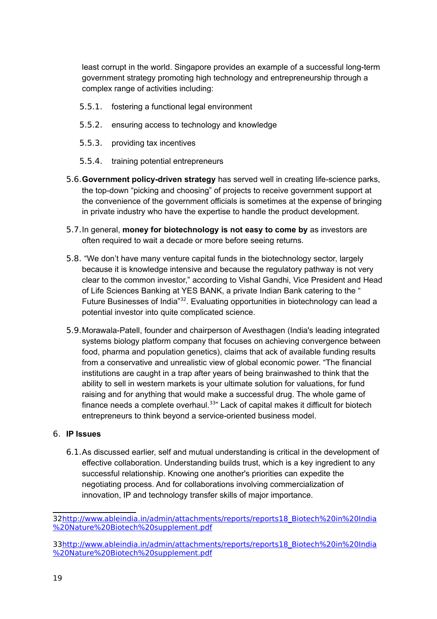least corrupt in the world. Singapore provides an example of a successful long-term government strategy promoting high technology and entrepreneurship through a complex range of activities including:

- 5.5.1. fostering a functional legal environment
- 5.5.2. ensuring access to technology and knowledge
- 5.5.3. providing tax incentives
- 5.5.4. training potential entrepreneurs
- 5.6.**Government policy-driven strategy** has served well in creating life-science parks, the top-down "picking and choosing" of projects to receive government support at the convenience of the government officials is sometimes at the expense of bringing in private industry who have the expertise to handle the product development.
- 5.7.In general, **money for biotechnology is not easy to come by** as investors are often required to wait a decade or more before seeing returns.
- 5.8. "We don't have many venture capital funds in the biotechnology sector, largely because it is knowledge intensive and because the regulatory pathway is not very clear to the common investor," according to Vishal Gandhi, Vice President and Head of Life Sciences Banking at YES BANK, a private Indian Bank catering to the " Future Businesses of India"[32](#page-18-0). Evaluating opportunities in biotechnology can lead a potential investor into quite complicated science.
- 5.9.Morawala-Patell, founder and chairperson of Avesthagen (India's leading integrated systems biology platform company that focuses on achieving convergence between food, pharma and population genetics), claims that ack of available funding results from a conservative and unrealistic view of global economic power. "The financial institutions are caught in a trap after years of being brainwashed to think that the ability to sell in western markets is your ultimate solution for valuations, for fund raising and for anything that would make a successful drug. The whole game of finance needs a complete overhaul. $33"$  $33"$  Lack of capital makes it difficult for biotech entrepreneurs to think beyond a service-oriented business model.

### 6. **IP Issues**

6.1.As discussed earlier, self and mutual understanding is critical in the development of effective collaboration. Understanding builds trust, which is a key ingredient to any successful relationship. Knowing one another's priorities can expedite the negotiating process. And for collaborations involving commercialization of innovation, IP and technology transfer skills of major importance.

<span id="page-18-0"></span><sup>3</sup>[2http://www.ableindia.in/admin/attachments/reports/reports18\\_Biotech%20in%20India](http://www.ableindia.in/admin/attachments/reports/reports18_Biotech%20in%20India%20Nature%20Biotech%20supplement.pdf) [%20Nature%20Biotech%20supplement.pdf](http://www.ableindia.in/admin/attachments/reports/reports18_Biotech%20in%20India%20Nature%20Biotech%20supplement.pdf)

<span id="page-18-1"></span><sup>3</sup>[3http://www.ableindia.in/admin/attachments/reports/reports18\\_Biotech%20in%20India](http://www.ableindia.in/admin/attachments/reports/reports18_Biotech%20in%20India%20Nature%20Biotech%20supplement.pdf) [%20Nature%20Biotech%20supplement.pdf](http://www.ableindia.in/admin/attachments/reports/reports18_Biotech%20in%20India%20Nature%20Biotech%20supplement.pdf)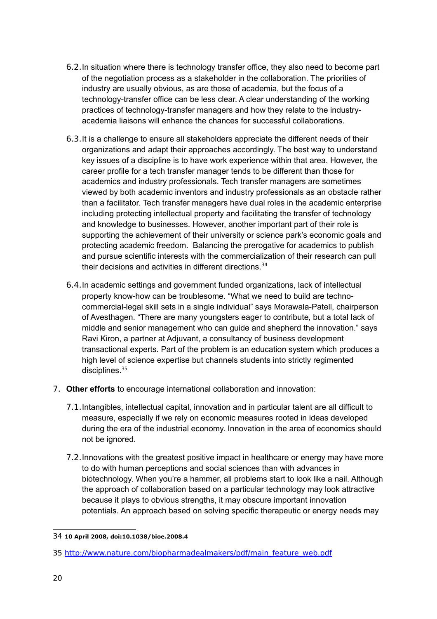- 6.2.In situation where there is technology transfer office, they also need to become part of the negotiation process as a stakeholder in the collaboration. The priorities of industry are usually obvious, as are those of academia, but the focus of a technology-transfer office can be less clear. A clear understanding of the working practices of technology-transfer managers and how they relate to the industryacademia liaisons will enhance the chances for successful collaborations.
- 6.3.It is a challenge to ensure all stakeholders appreciate the different needs of their organizations and adapt their approaches accordingly. The best way to understand key issues of a discipline is to have work experience within that area. However, the career profile for a tech transfer manager tends to be different than those for academics and industry professionals. Tech transfer managers are sometimes viewed by both academic inventors and industry professionals as an obstacle rather than a facilitator. Tech transfer managers have dual roles in the academic enterprise including protecting intellectual property and facilitating the transfer of technology and knowledge to businesses. However, another important part of their role is supporting the achievement of their university or science park's economic goals and protecting academic freedom. Balancing the prerogative for academics to publish and pursue scientific interests with the commercialization of their research can pull their decisions and activities in different directions.<sup>[34](#page-19-0)</sup>
- 6.4.In academic settings and government funded organizations, lack of intellectual property know-how can be troublesome. "What we need to build are technocommercial-legal skill sets in a single individual" says Morawala-Patell, chairperson of Avesthagen. "There are many youngsters eager to contribute, but a total lack of middle and senior management who can guide and shepherd the innovation." says Ravi Kiron, a partner at Adjuvant, a consultancy of business development transactional experts. Part of the problem is an education system which produces a high level of science expertise but channels students into strictly regimented disciplines.<sup>[35](#page-19-1)</sup>
- 7. **Other efforts** to encourage international collaboration and innovation:
	- 7.1.Intangibles, intellectual capital, innovation and in particular talent are all difficult to measure, especially if we rely on economic measures rooted in ideas developed during the era of the industrial economy. Innovation in the area of economics should not be ignored.
	- 7.2.Innovations with the greatest positive impact in healthcare or energy may have more to do with human perceptions and social sciences than with advances in biotechnology. When you're a hammer, all problems start to look like a nail. Although the approach of collaboration based on a particular technology may look attractive because it plays to obvious strengths, it may obscure important innovation potentials. An approach based on solving specific therapeutic or energy needs may

<span id="page-19-0"></span><sup>34</sup> **10 April 2008, doi:10.1038/bioe.2008.4**

<span id="page-19-1"></span><sup>35</sup> [http://www.nature.com/biopharmadealmakers/pdf/main\\_feature\\_web.pdf](http://www.nature.com/biopharmadealmakers/pdf/main_feature_web.pdf)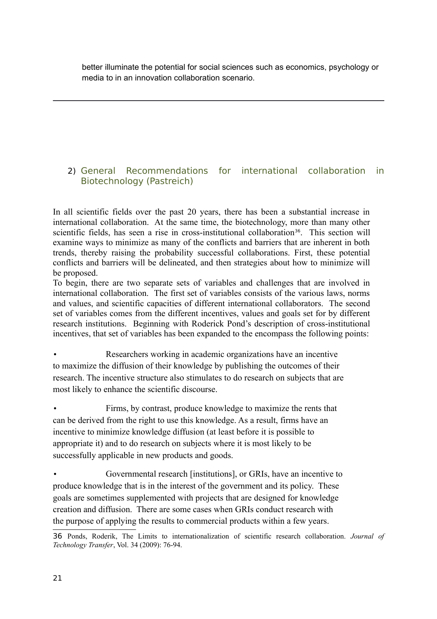better illuminate the potential for social sciences such as economics, psychology or media to in an innovation collaboration scenario.

## 2) General Recommendations for international collaboration in Biotechnology (Pastreich)

In all scientific fields over the past 20 years, there has been a substantial increase in international collaboration. At the same time, the biotechnology, more than many other scientific fields, has seen a rise in cross-institutional collaboration<sup>[36](#page-20-0)</sup>. This section will examine ways to minimize as many of the conflicts and barriers that are inherent in both trends, thereby raising the probability successful collaborations. First, these potential conflicts and barriers will be delineated, and then strategies about how to minimize will be proposed.

To begin, there are two separate sets of variables and challenges that are involved in international collaboration. The first set of variables consists of the various laws, norms and values, and scientific capacities of different international collaborators. The second set of variables comes from the different incentives, values and goals set for by different research institutions. Beginning with Roderick Pond's description of cross-institutional incentives, that set of variables has been expanded to the encompass the following points:

Researchers working in academic organizations have an incentive to maximize the diffusion of their knowledge by publishing the outcomes of their research. The incentive structure also stimulates to do research on subjects that are most likely to enhance the scientific discourse.

• Firms, by contrast, produce knowledge to maximize the rents that can be derived from the right to use this knowledge. As a result, firms have an incentive to minimize knowledge diffusion (at least before it is possible to appropriate it) and to do research on subjects where it is most likely to be successfully applicable in new products and goods.

• Governmental research [institutions], or GRIs, have an incentive to produce knowledge that is in the interest of the government and its policy. These goals are sometimes supplemented with projects that are designed for knowledge creation and diffusion. There are some cases when GRIs conduct research with the purpose of applying the results to commercial products within a few years.

<span id="page-20-0"></span><sup>36</sup> Ponds, Roderik, The Limits to internationalization of scientific research collaboration. *Journal of Technology Transfer*, Vol. 34 (2009): 76-94.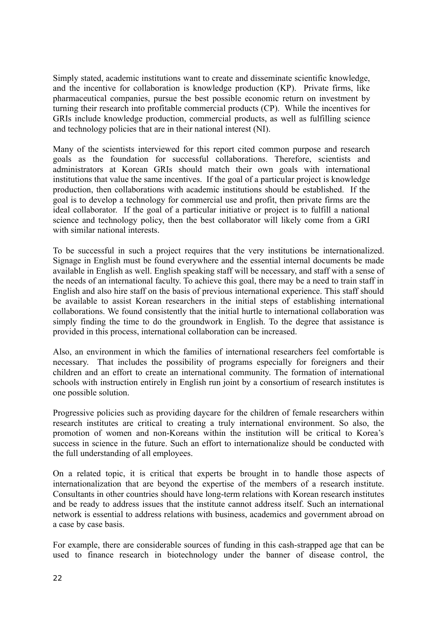Simply stated, academic institutions want to create and disseminate scientific knowledge, and the incentive for collaboration is knowledge production (KP). Private firms, like pharmaceutical companies, pursue the best possible economic return on investment by turning their research into profitable commercial products (CP). While the incentives for GRIs include knowledge production, commercial products, as well as fulfilling science and technology policies that are in their national interest (NI).

Many of the scientists interviewed for this report cited common purpose and research goals as the foundation for successful collaborations. Therefore, scientists and administrators at Korean GRIs should match their own goals with international institutions that value the same incentives. If the goal of a particular project is knowledge production, then collaborations with academic institutions should be established. If the goal is to develop a technology for commercial use and profit, then private firms are the ideal collaborator. If the goal of a particular initiative or project is to fulfill a national science and technology policy, then the best collaborator will likely come from a GRI with similar national interests.

To be successful in such a project requires that the very institutions be internationalized. Signage in English must be found everywhere and the essential internal documents be made available in English as well. English speaking staff will be necessary, and staff with a sense of the needs of an international faculty. To achieve this goal, there may be a need to train staff in English and also hire staff on the basis of previous international experience. This staff should be available to assist Korean researchers in the initial steps of establishing international collaborations. We found consistently that the initial hurtle to international collaboration was simply finding the time to do the groundwork in English. To the degree that assistance is provided in this process, international collaboration can be increased.

Also, an environment in which the families of international researchers feel comfortable is necessary. That includes the possibility of programs especially for foreigners and their children and an effort to create an international community. The formation of international schools with instruction entirely in English run joint by a consortium of research institutes is one possible solution.

Progressive policies such as providing daycare for the children of female researchers within research institutes are critical to creating a truly international environment. So also, the promotion of women and non-Koreans within the institution will be critical to Korea's success in science in the future. Such an effort to internationalize should be conducted with the full understanding of all employees.

On a related topic, it is critical that experts be brought in to handle those aspects of internationalization that are beyond the expertise of the members of a research institute. Consultants in other countries should have long-term relations with Korean research institutes and be ready to address issues that the institute cannot address itself. Such an international network is essential to address relations with business, academics and government abroad on a case by case basis.

For example, there are considerable sources of funding in this cash-strapped age that can be used to finance research in biotechnology under the banner of disease control, the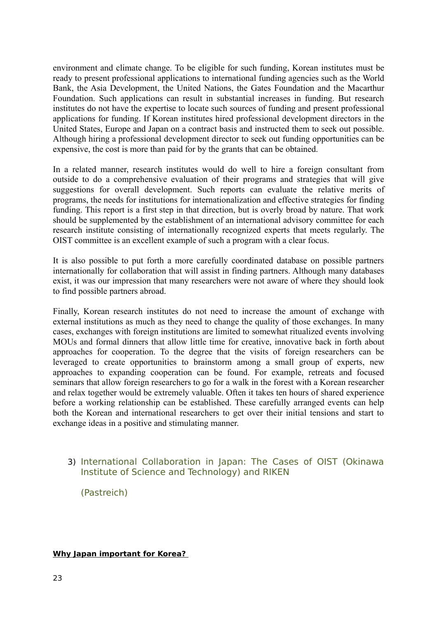environment and climate change. To be eligible for such funding, Korean institutes must be ready to present professional applications to international funding agencies such as the World Bank, the Asia Development, the United Nations, the Gates Foundation and the Macarthur Foundation. Such applications can result in substantial increases in funding. But research institutes do not have the expertise to locate such sources of funding and present professional applications for funding. If Korean institutes hired professional development directors in the United States, Europe and Japan on a contract basis and instructed them to seek out possible. Although hiring a professional development director to seek out funding opportunities can be expensive, the cost is more than paid for by the grants that can be obtained.

In a related manner, research institutes would do well to hire a foreign consultant from outside to do a comprehensive evaluation of their programs and strategies that will give suggestions for overall development. Such reports can evaluate the relative merits of programs, the needs for institutions for internationalization and effective strategies for finding funding. This report is a first step in that direction, but is overly broad by nature. That work should be supplemented by the establishment of an international advisory committee for each research institute consisting of internationally recognized experts that meets regularly. The OIST committee is an excellent example of such a program with a clear focus.

It is also possible to put forth a more carefully coordinated database on possible partners internationally for collaboration that will assist in finding partners. Although many databases exist, it was our impression that many researchers were not aware of where they should look to find possible partners abroad.

Finally, Korean research institutes do not need to increase the amount of exchange with external institutions as much as they need to change the quality of those exchanges. In many cases, exchanges with foreign institutions are limited to somewhat ritualized events involving MOUs and formal dinners that allow little time for creative, innovative back in forth about approaches for cooperation. To the degree that the visits of foreign researchers can be leveraged to create opportunities to brainstorm among a small group of experts, new approaches to expanding cooperation can be found. For example, retreats and focused seminars that allow foreign researchers to go for a walk in the forest with a Korean researcher and relax together would be extremely valuable. Often it takes ten hours of shared experience before a working relationship can be established. These carefully arranged events can help both the Korean and international researchers to get over their initial tensions and start to exchange ideas in a positive and stimulating manner.

## 3) International Collaboration in Japan: The Cases of OIST (Okinawa Institute of Science and Technology) and RIKEN

(Pastreich)

## **Why Japan important for Korea?**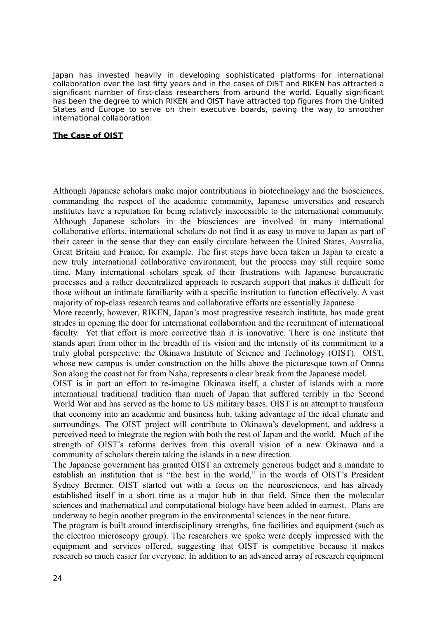Japan has invested heavily in developing sophisticated platforms for international collaboration over the last fifty years and in the cases of OIST and RIKEN has attracted a significant number of first-class researchers from around the world. Equally significant has been the degree to which RIKEN and OIST have attracted top figures from the United States and Europe to serve on their executive boards, paving the way to smoother international collaboration.

#### **The Case of OIST**

Although Japanese scholars make major contributions in biotechnology and the biosciences, commanding the respect of the academic community, Japanese universities and research institutes have a reputation for being relatively inaccessible to the international community. Although Japanese scholars in the biosciences are involved in many international collaborative efforts, international scholars do not find it as easy to move to Japan as part of their career in the sense that they can easily circulate between the United States, Australia, Great Britain and France, for example. The first steps have been taken in Japan to create a new truly international collaborative environment, but the process may still require some time. Many international scholars speak of their frustrations with Japanese bureaucratic processes and a rather decentralized approach to research support that makes it difficult for those without an intimate familiarity with a specific institution to function effectively. A vast majority of top-class research teams and collaborative efforts are essentially Japanese.

More recently, however, RIKEN, Japan's most progressive research institute, has made great strides in opening the door for international collaboration and the recruitment of international faculty. Yet that effort is more corrective than it is innovative. There is one institute that stands apart from other in the breadth of its vision and the intensity of its commitment to a truly global perspective: the Okinawa Institute of Science and Technology (OIST). OIST, whose new campus is under construction on the hills above the picturesque town of Onnna Son along the coast not far from Naha, represents a clear break from the Japanese model.

OIST is in part an effort to re-imagine Okinawa itself, a cluster of islands with a more international traditional tradition than much of Japan that suffered terribly in the Second World War and has served as the home to US military bases. OIST is an attempt to transform that economy into an academic and business hub, taking advantage of the ideal climate and surroundings. The OIST project will contribute to Okinawa's development, and address a perceived need to integrate the region with both the rest of Japan and the world. Much of the strength of OIST's reforms derives from this overall vision of a new Okinawa and a community of scholars therein taking the islands in a new direction.

The Japanese government has granted OIST an extremely generous budget and a mandate to establish an institution that is "the best in the world," in the words of OIST's President Sydney Brenner. OIST started out with a focus on the neurosciences, and has already established itself in a short time as a major hub in that field. Since then the molecular sciences and mathematical and computational biology have been added in earnest. Plans are underway to begin another program in the environmental sciences in the near future.

The program is built around interdisciplinary strengths, fine facilities and equipment (such as the electron microscopy group). The researchers we spoke were deeply impressed with the equipment and services offered, suggesting that OIST is competitive because it makes research so much easier for everyone. In addition to an advanced array of research equipment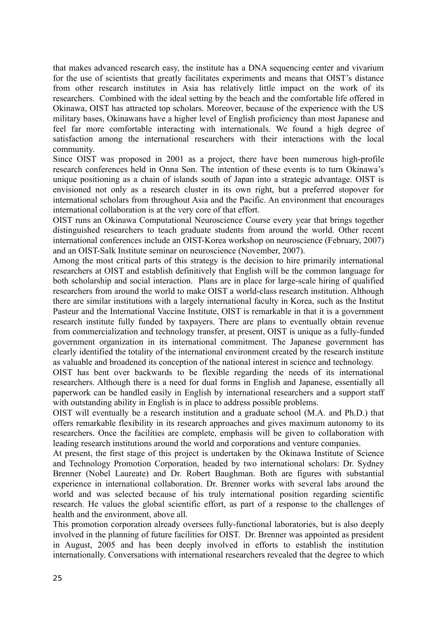that makes advanced research easy, the institute has a DNA sequencing center and vivarium for the use of scientists that greatly facilitates experiments and means that OIST's distance from other research institutes in Asia has relatively little impact on the work of its researchers. Combined with the ideal setting by the beach and the comfortable life offered in Okinawa, OIST has attracted top scholars. Moreover, because of the experience with the US military bases, Okinawans have a higher level of English proficiency than most Japanese and feel far more comfortable interacting with internationals. We found a high degree of satisfaction among the international researchers with their interactions with the local community.

Since OIST was proposed in 2001 as a project, there have been numerous high-profile research conferences held in Onna Son. The intention of these events is to turn Okinawa's unique positioning as a chain of islands south of Japan into a strategic advantage. OIST is envisioned not only as a research cluster in its own right, but a preferred stopover for international scholars from throughout Asia and the Pacific. An environment that encourages international collaboration is at the very core of that effort.

OIST runs an Okinawa Computational Neuroscience Course every year that brings together distinguished researchers to teach graduate students from around the world. Other recent international conferences include an OIST-Korea workshop on neuroscience (February, 2007) and an OIST-Salk Institute seminar on neuroscience (November, 2007).

Among the most critical parts of this strategy is the decision to hire primarily international researchers at OIST and establish definitively that English will be the common language for both scholarship and social interaction. Plans are in place for large-scale hiring of qualified researchers from around the world to make OIST a world-class research institution. Although there are similar institutions with a largely international faculty in Korea, such as the Institut Pasteur and the International Vaccine Institute, OIST is remarkable in that it is a government research institute fully funded by taxpayers. There are plans to eventually obtain revenue from commercialization and technology transfer, at present, OIST is unique as a fully-funded government organization in its international commitment. The Japanese government has clearly identified the totality of the international environment created by the research institute as valuable and broadened its conception of the national interest in science and technology.

OIST has bent over backwards to be flexible regarding the needs of its international researchers. Although there is a need for dual forms in English and Japanese, essentially all paperwork can be handled easily in English by international researchers and a support staff with outstanding ability in English is in place to address possible problems.

OIST will eventually be a research institution and a graduate school (M.A. and Ph.D.) that offers remarkable flexibility in its research approaches and gives maximum autonomy to its researchers. Once the facilities are complete, emphasis will be given to collaboration with leading research institutions around the world and corporations and venture companies.

At present, the first stage of this project is undertaken by the Okinawa Institute of Science and Technology Promotion Corporation, headed by two international scholars: Dr. Sydney Brenner (Nobel Laureate) and Dr. Robert Baughman. Both are figures with substantial experience in international collaboration. Dr. Brenner works with several labs around the world and was selected because of his truly international position regarding scientific research. He values the global scientific effort, as part of a response to the challenges of health and the environment, above all.

This promotion corporation already oversees fully-functional laboratories, but is also deeply involved in the planning of future facilities for OIST. Dr. Brenner was appointed as president in August, 2005 and has been deeply involved in efforts to establish the institution internationally. Conversations with international researchers revealed that the degree to which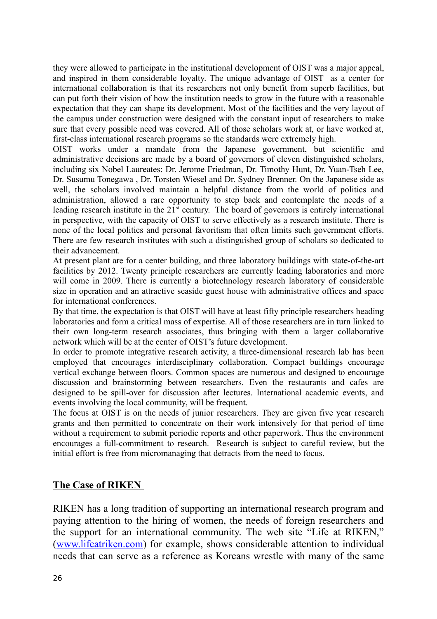they were allowed to participate in the institutional development of OIST was a major appeal, and inspired in them considerable loyalty. The unique advantage of OIST as a center for international collaboration is that its researchers not only benefit from superb facilities, but can put forth their vision of how the institution needs to grow in the future with a reasonable expectation that they can shape its development. Most of the facilities and the very layout of the campus under construction were designed with the constant input of researchers to make sure that every possible need was covered. All of those scholars work at, or have worked at, first-class international research programs so the standards were extremely high.

OIST works under a mandate from the Japanese government, but scientific and administrative decisions are made by a board of governors of eleven distinguished scholars, including six Nobel Laureates: Dr. Jerome Friedman, Dr. Timothy Hunt, Dr. Yuan-Tseh Lee, Dr. Susumu Tonegawa , Dr. Torsten Wiesel and Dr. Sydney Brenner. On the Japanese side as well, the scholars involved maintain a helpful distance from the world of politics and administration, allowed a rare opportunity to step back and contemplate the needs of a leading research institute in the  $21<sup>st</sup>$  century. The board of governors is entirely international in perspective, with the capacity of OIST to serve effectively as a research institute. There is none of the local politics and personal favoritism that often limits such government efforts. There are few research institutes with such a distinguished group of scholars so dedicated to their advancement.

At present plant are for a center building, and three laboratory buildings with state-of-the-art facilities by 2012. Twenty principle researchers are currently leading laboratories and more will come in 2009. There is currently a biotechnology research laboratory of considerable size in operation and an attractive seaside guest house with administrative offices and space for international conferences.

By that time, the expectation is that OIST will have at least fifty principle researchers heading laboratories and form a critical mass of expertise. All of those researchers are in turn linked to their own long-term research associates, thus bringing with them a larger collaborative network which will be at the center of OIST's future development.

In order to promote integrative research activity, a three-dimensional research lab has been employed that encourages interdisciplinary collaboration. Compact buildings encourage vertical exchange between floors. Common spaces are numerous and designed to encourage discussion and brainstorming between researchers. Even the restaurants and cafes are designed to be spill-over for discussion after lectures. International academic events, and events involving the local community, will be frequent.

The focus at OIST is on the needs of junior researchers. They are given five year research grants and then permitted to concentrate on their work intensively for that period of time without a requirement to submit periodic reports and other paperwork. Thus the environment encourages a full-commitment to research. Research is subject to careful review, but the initial effort is free from micromanaging that detracts from the need to focus.

## **The Case of RIKEN**

RIKEN has a long tradition of supporting an international research program and paying attention to the hiring of women, the needs of foreign researchers and the support for an international community. The web site "Life at RIKEN," [\(www.lifeatriken.com\)](http://www.lifeatriken.com/) for example, shows considerable attention to individual needs that can serve as a reference as Koreans wrestle with many of the same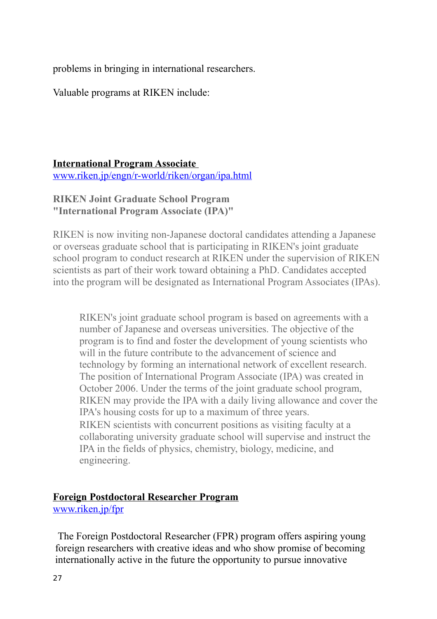problems in bringing in international researchers.

Valuable programs at RIKEN include:

## **International Program Associate**

[www.riken.jp/engn/r-world/riken/organ/ipa.html](http://www.riken.jp/engn/r-world/riken/organ/ipa.html)

## **RIKEN Joint Graduate School Program "International Program Associate (IPA)"**

RIKEN is now inviting non-Japanese doctoral candidates attending a Japanese or overseas graduate school that is participating in RIKEN's joint graduate school program to conduct research at RIKEN under the supervision of RIKEN scientists as part of their work toward obtaining a PhD. Candidates accepted into the program will be designated as International Program Associates (IPAs).

RIKEN's joint graduate school program is based on agreements with a number of Japanese and overseas universities. The objective of the program is to find and foster the development of young scientists who will in the future contribute to the advancement of science and technology by forming an international network of excellent research. The position of International Program Associate (IPA) was created in October 2006. Under the terms of the joint graduate school program, RIKEN may provide the IPA with a daily living allowance and cover the IPA's housing costs for up to a maximum of three years. RIKEN scientists with concurrent positions as visiting faculty at a collaborating university graduate school will supervise and instruct the IPA in the fields of physics, chemistry, biology, medicine, and engineering.

## **Foreign Postdoctoral Researcher Program**

[www.riken.jp/fpr](http://www.riken.jp/fpr)

The Foreign Postdoctoral Researcher (FPR) program offers aspiring young foreign researchers with creative ideas and who show promise of becoming internationally active in the future the opportunity to pursue innovative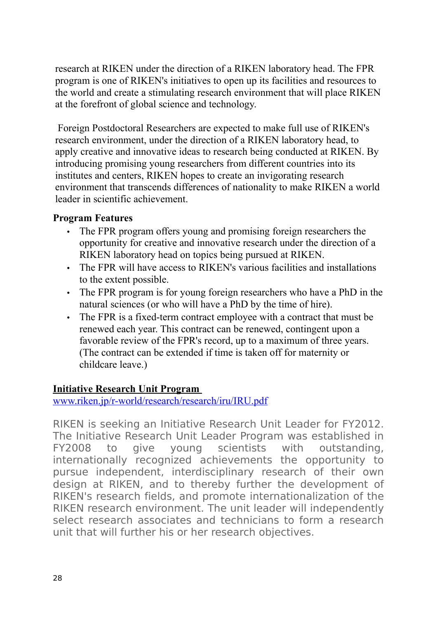research at RIKEN under the direction of a RIKEN laboratory head. The FPR program is one of RIKEN's initiatives to open up its facilities and resources to the world and create a stimulating research environment that will place RIKEN at the forefront of global science and technology.

Foreign Postdoctoral Researchers are expected to make full use of RIKEN's research environment, under the direction of a RIKEN laboratory head, to apply creative and innovative ideas to research being conducted at RIKEN. By introducing promising young researchers from different countries into its institutes and centers, RIKEN hopes to create an invigorating research environment that transcends differences of nationality to make RIKEN a world leader in scientific achievement.

## **Program Features**

- The FPR program offers young and promising foreign researchers the opportunity for creative and innovative research under the direction of a RIKEN laboratory head on topics being pursued at RIKEN.
- The FPR will have access to RIKEN's various facilities and installations to the extent possible.
- The FPR program is for young foreign researchers who have a PhD in the natural sciences (or who will have a PhD by the time of hire).
- The FPR is a fixed-term contract employee with a contract that must be renewed each year. This contract can be renewed, contingent upon a favorable review of the FPR's record, up to a maximum of three years. (The contract can be extended if time is taken off for maternity or childcare leave.)

## **Initiative Research Unit Program**

[www.riken.jp/r-world/research/research/iru/IRU.pdf](http://www.riken.jp/r-world/research/research/iru/IRU.pdf)

RIKEN is seeking an Initiative Research Unit Leader for FY2012. The Initiative Research Unit Leader Program was established in FY2008 to give young scientists with outstanding, internationally recognized achievements the opportunity to pursue independent, interdisciplinary research of their own design at RIKEN, and to thereby further the development of RIKEN's research fields, and promote internationalization of the RIKEN research environment. The unit leader will independently select research associates and technicians to form a research unit that will further his or her research objectives.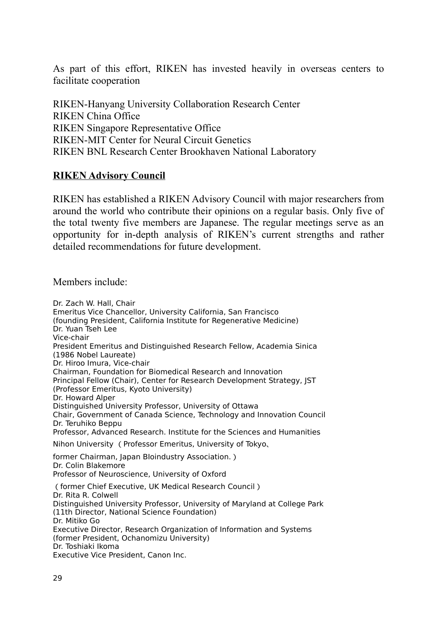As part of this effort, RIKEN has invested heavily in overseas centers to facilitate cooperation

RIKEN-Hanyang University Collaboration Research Center RIKEN China Office RIKEN Singapore Representative Office RIKEN-MIT Center for Neural Circuit Genetics RIKEN BNL Research Center Brookhaven National Laboratory

## **RIKEN Advisory Council**

RIKEN has established a RIKEN Advisory Council with major researchers from around the world who contribute their opinions on a regular basis. Only five of the total twenty five members are Japanese. The regular meetings serve as an opportunity for in-depth analysis of RIKEN's current strengths and rather detailed recommendations for future development.

Members include:

Dr. Zach W. Hall, Chair Emeritus Vice Chancellor, University California, San Francisco (founding President, California Institute for Regenerative Medicine) Dr. Yuan Tseh Lee Vice-chair President Emeritus and Distinguished Research Fellow, Academia Sinica (1986 Nobel Laureate) Dr. Hiroo Imura, Vice-chair Chairman, Foundation for Biomedical Research and Innovation Principal Fellow (Chair), Center for Research Development Strategy, JST (Professor Emeritus, Kyoto University) Dr. Howard Alper Distinguished University Professor, University of Ottawa Chair, Government of Canada Science, Technology and Innovation Council Dr. Teruhiko Beppu Professor, Advanced Research. Institute for the Sciences and Humanities Nihon University (Professor Emeritus, University of Tokyo、 former Chairman, Japan Bloindustry Association.) Dr. Colin Blakemore Professor of Neuroscience, University of Oxford (former Chief Executive, UK Medical Research Council) Dr. Rita R. Colwell Distinguished University Professor, University of Maryland at College Park (11th Director, National Science Foundation) Dr. Mitiko Go Executive Director, Research Organization of Information and Systems (former President, Ochanomizu University) Dr. Toshiaki Ikoma Executive Vice President, Canon Inc.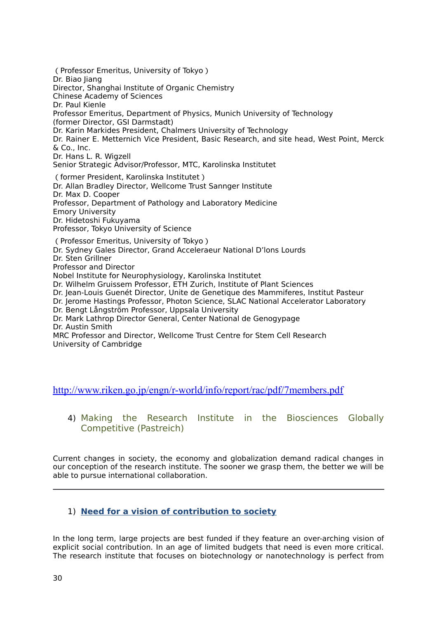(Professor Emeritus, University of Tokyo) Dr. Biao Jiang Director, Shanghai Institute of Organic Chemistry Chinese Academy of Sciences Dr. Paul Kienle Professor Emeritus, Department of Physics, Munich University of Technology (former Director, GSI Darmstadt) Dr. Karin Markides President, Chalmers University of Technology Dr. Rainer E. Metternich Vice President, Basic Research, and site head, West Point, Merck & Co., Inc. Dr. Hans L. R. Wigzell Senior Strategic Advisor/Professor, MTC, Karolinska Institutet (former President, Karolinska Institutet) Dr. Allan Bradley Director, Wellcome Trust Sannger Institute Dr. Max D. Cooper Professor, Department of Pathology and Laboratory Medicine Emory University Dr. Hidetoshi Fukuyama Professor, Tokyo University of Science (Professor Emeritus, University of Tokyo) Dr. Sydney Gales Director, Grand Acceleraeur National D'lons Lourds Dr. Sten Grillner Professor and Director Nobel Institute for Neurophysiology, Karolinska Institutet Dr. Wilhelm Gruissem Professor, ETH Zurich, Institute of Plant Sciences

Dr. Jean-Louis Guenét Director, Unite de Genetique des Mammiferes, Institut Pasteur Dr. Jerome Hastings Professor, Photon Science, SLAC National Accelerator Laboratory

Dr. Bengt Långström Professor, Uppsala University

Dr. Mark Lathrop Director General, Center National de Genogypage Dr. Austin Smith

MRC Professor and Director, Wellcome Trust Centre for Stem Cell Research University of Cambridge

<http://www.riken.go.jp/engn/r-world/info/report/rac/pdf/7members.pdf>

4) Making the Research Institute in the Biosciences Globally Competitive (Pastreich)

Current changes in society, the economy and globalization demand radical changes in our conception of the research institute. The sooner we grasp them, the better we will be able to pursue international collaboration.

## 1) **Need for a vision of contribution to society**

In the long term, large projects are best funded if they feature an over-arching vision of explicit social contribution. In an age of limited budgets that need is even more critical. The research institute that focuses on biotechnology or nanotechnology is perfect from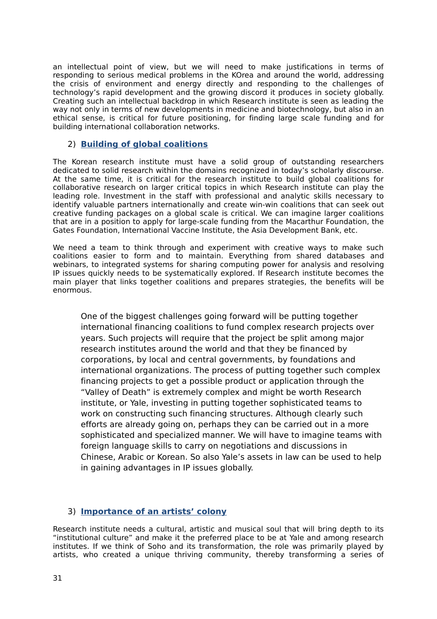an intellectual point of view, but we will need to make justifications in terms of responding to serious medical problems in the KOrea and around the world, addressing the crisis of environment and energy directly and responding to the challenges of technology's rapid development and the growing discord it produces in society globally. Creating such an intellectual backdrop in which Research institute is seen as leading the way not only in terms of new developments in medicine and biotechnology, but also in an ethical sense, is critical for future positioning, for finding large scale funding and for building international collaboration networks.

## 2) **Building of global coalitions**

The Korean research institute must have a solid group of outstanding researchers dedicated to solid research within the domains recognized in today's scholarly discourse. At the same time, it is critical for the research institute to build global coalitions for collaborative research on larger critical topics in which Research institute can play the leading role. Investment in the staff with professional and analytic skills necessary to identify valuable partners internationally and create win-win coalitions that can seek out creative funding packages on a global scale is critical. We can imagine larger coalitions that are in a position to apply for large-scale funding from the Macarthur Foundation, the Gates Foundation, International Vaccine Institute, the Asia Development Bank, etc.

We need a team to think through and experiment with creative ways to make such coalitions easier to form and to maintain. Everything from shared databases and webinars, to integrated systems for sharing computing power for analysis and resolving IP issues quickly needs to be systematically explored. If Research institute becomes the main player that links together coalitions and prepares strategies, the benefits will be enormous.

One of the biggest challenges going forward will be putting together international financing coalitions to fund complex research projects over years. Such projects will require that the project be split among major research institutes around the world and that they be financed by corporations, by local and central governments, by foundations and international organizations. The process of putting together such complex financing projects to get a possible product or application through the "Valley of Death" is extremely complex and might be worth Research institute, or Yale, investing in putting together sophisticated teams to work on constructing such financing structures. Although clearly such efforts are already going on, perhaps they can be carried out in a more sophisticated and specialized manner. We will have to imagine teams with foreign language skills to carry on negotiations and discussions in Chinese, Arabic or Korean. So also Yale's assets in law can be used to help in gaining advantages in IP issues globally.

## 3) **Importance of an artists' colony**

Research institute needs a cultural, artistic and musical soul that will bring depth to its "institutional culture" and make it the preferred place to be at Yale and among research institutes. If we think of Soho and its transformation, the role was primarily played by artists, who created a unique thriving community, thereby transforming a series of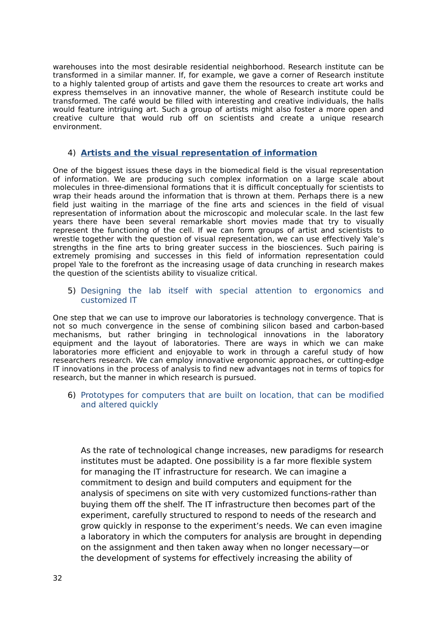warehouses into the most desirable residential neighborhood. Research institute can be transformed in a similar manner. If, for example, we gave a corner of Research institute to a highly talented group of artists and gave them the resources to create art works and express themselves in an innovative manner, the whole of Research institute could be transformed. The café would be filled with interesting and creative individuals, the halls would feature intriguing art. Such a group of artists might also foster a more open and creative culture that would rub off on scientists and create a unique research environment.

## 4) **Artists and the visual representation of information**

One of the biggest issues these days in the biomedical field is the visual representation of information. We are producing such complex information on a large scale about molecules in three-dimensional formations that it is difficult conceptually for scientists to wrap their heads around the information that is thrown at them. Perhaps there is a new field just waiting in the marriage of the fine arts and sciences in the field of visual representation of information about the microscopic and molecular scale. In the last few years there have been several remarkable short movies made that try to visually represent the functioning of the cell. If we can form groups of artist and scientists to wrestle together with the question of visual representation, we can use effectively Yale's strengths in the fine arts to bring greater success in the biosciences. Such pairing is extremely promising and successes in this field of information representation could propel Yale to the forefront as the increasing usage of data crunching in research makes the question of the scientists ability to visualize critical.

#### 5) Designing the lab itself with special attention to ergonomics and customized IT

One step that we can use to improve our laboratories is technology convergence. That is not so much convergence in the sense of combining silicon based and carbon-based mechanisms, but rather bringing in technological innovations in the laboratory equipment and the layout of laboratories. There are ways in which we can make laboratories more efficient and enjoyable to work in through a careful study of how researchers research. We can employ innovative ergonomic approaches, or cutting-edge IT innovations in the process of analysis to find new advantages not in terms of topics for research, but the manner in which research is pursued.

6) Prototypes for computers that are built on location, that can be modified and altered quickly

As the rate of technological change increases, new paradigms for research institutes must be adapted. One possibility is a far more flexible system for managing the IT infrastructure for research. We can imagine a commitment to design and build computers and equipment for the analysis of specimens on site with very customized functions-rather than buying them off the shelf. The IT infrastructure then becomes part of the experiment, carefully structured to respond to needs of the research and grow quickly in response to the experiment's needs. We can even imagine a laboratory in which the computers for analysis are brought in depending on the assignment and then taken away when no longer necessary—or the development of systems for effectively increasing the ability of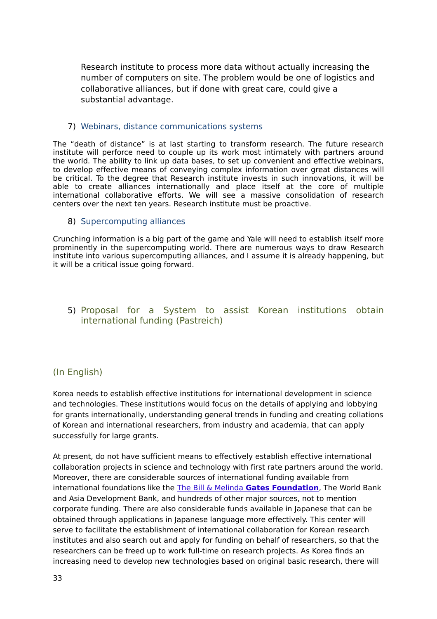Research institute to process more data without actually increasing the number of computers on site. The problem would be one of logistics and collaborative alliances, but if done with great care, could give a substantial advantage.

## 7) Webinars, distance communications systems

The "death of distance" is at last starting to transform research. The future research institute will perforce need to couple up its work most intimately with partners around the world. The ability to link up data bases, to set up convenient and effective webinars, to develop effective means of conveying complex information over great distances will be critical. To the degree that Research institute invests in such innovations, it will be able to create alliances internationally and place itself at the core of multiple international collaborative efforts. We will see a massive consolidation of research centers over the next ten years. Research institute must be proactive.

### 8) Supercomputing alliances

Crunching information is a big part of the game and Yale will need to establish itself more prominently in the supercomputing world. There are numerous ways to draw Research institute into various supercomputing alliances, and I assume it is already happening, but it will be a critical issue going forward.

## 5) Proposal for a System to assist Korean institutions obtain international funding (Pastreich)

## (In English)

Korea needs to establish effective institutions for international development in science and technologies. These institutions would focus on the details of applying and lobbying for grants internationally, understanding general trends in funding and creating collations of Korean and international researchers, from industry and academia, that can apply successfully for large grants.

At present, do not have sufficient means to effectively establish effective international collaboration projects in science and technology with first rate partners around the world. Moreover, there are considerable sources of international funding available from international foundations like the The Bill & Melinda **[Gates Foundation](http://www.gatesfoundation.org/)**, The World Bank and Asia Development Bank, and hundreds of other major sources, not to mention corporate funding. There are also considerable funds available in Japanese that can be obtained through applications in Japanese language more effectively. This center will serve to facilitate the establishment of international collaboration for Korean research institutes and also search out and apply for funding on behalf of researchers, so that the researchers can be freed up to work full-time on research projects. As Korea finds an increasing need to develop new technologies based on original basic research, there will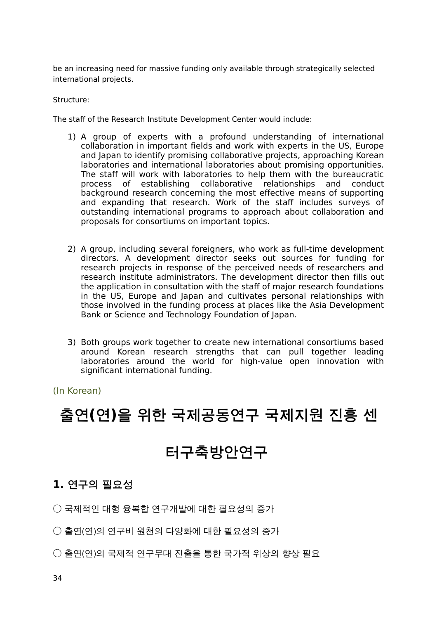be an increasing need for massive funding only available through strategically selected international projects.

Structure:

The staff of the Research Institute Development Center would include:

- 1) A group of experts with a profound understanding of international collaboration in important fields and work with experts in the US, Europe and Japan to identify promising collaborative projects, approaching Korean laboratories and international laboratories about promising opportunities. The staff will work with laboratories to help them with the bureaucratic process of establishing collaborative relationships and conduct background research concerning the most effective means of supporting and expanding that research. Work of the staff includes surveys of outstanding international programs to approach about collaboration and proposals for consortiums on important topics.
- 2) A group, including several foreigners, who work as full-time development directors. A development director seeks out sources for funding for research projects in response of the perceived needs of researchers and research institute administrators. The development director then fills out the application in consultation with the staff of major research foundations in the US, Europe and Japan and cultivates personal relationships with those involved in the funding process at places like the Asia Development Bank or Science and Technology Foundation of Japan.
- 3) Both groups work together to create new international consortiums based around Korean research strengths that can pull together leading laboratories around the world for high-value open innovation with significant international funding.

(In Korean)

## **출연(연)을 위한 국제공동연구 국제지원 진흥 센**

## **터구축방안연구**

## **1. 연구의 필요성**

○ 국제적인 대형 융복합 연구개발에 대한 필요성의 증가

- 출연(연)의 연구비 원천의 다양화에 대한 필요성의 증가
- 출연(연)의 국제적 연구무대 진출을 통한 국가적 위상의 향상 필요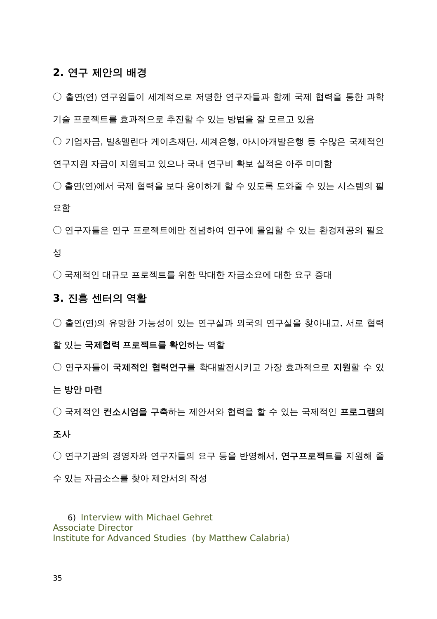## **2. 연구 제안의 배경**

○ 출연(연) 연구원들이 세계적으로 저명한 연구자들과 함께 국제 협력을 통한 과학 기술 프로젝트를 효과적으로 추진할 수 있는 방법을 잘 모르고 있음

○ 기업자금, 빌&멜린다 게이츠재단, 세계은행, 아시아개발은행 등 수많은 국제적인 연구지원 자금이 지원되고 있으나 국내 연구비 확보 실적은 아주 미미함

○ 출연(연)에서 국제 협력을 보다 용이하게 할 수 있도록 도와줄 수 있는 시스템의 필 요함

○ 연구자들은 연구 프로젝트에만 전념하여 연구에 몰입할 수 있는 환경제공의 필요 성

○ 국제적인 대규모 프로젝트를 위한 막대한 자금소요에 대한 요구 증대

## **3. 진흥 센터의 역활**

- 출연(연)의 유망한 가능성이 있는 연구실과 외국의 연구실을 찾아내고, 서로 협력
- 

할 있는 **국제협력 프로젝트를 확인**하는 역할

○ 연구자들이 **국제적인 협력연구**를 확대발전시키고 가장 효과적으로 **지원**할 수 있

○ 국제적인 **컨소시엄을 구축**하는 제안서와 협력을 할 수 있는 국제적인 **프로그램의**

○ 연구기관의 경영자와 연구자들의 요구 등을 반영해서, **연구프로젝트**를 지원해 줄

는 **방안 마련**

**조사**

수 있는 자금소스를 찾아 제안서의 작성

6) Interview with Michael Gehret Associate Director Institute for Advanced Studies (by Matthew Calabria)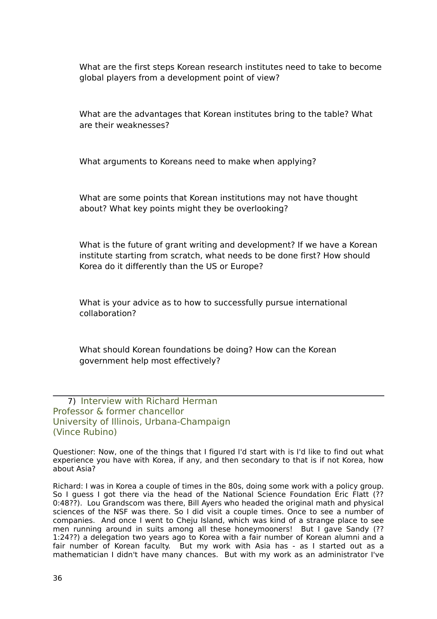What are the first steps Korean research institutes need to take to become global players from a development point of view?

What are the advantages that Korean institutes bring to the table? What are their weaknesses?

What arguments to Koreans need to make when applying?

What are some points that Korean institutions may not have thought about? What key points might they be overlooking?

What is the future of grant writing and development? If we have a Korean institute starting from scratch, what needs to be done first? How should Korea do it differently than the US or Europe?

What is your advice as to how to successfully pursue international collaboration?

What should Korean foundations be doing? How can the Korean government help most effectively?

7) Interview with Richard Herman Professor & former chancellor University of Illinois, Urbana-Champaign (Vince Rubino)

Questioner: Now, one of the things that I figured I'd start with is I'd like to find out what experience you have with Korea, if any, and then secondary to that is if not Korea, how about Asia?

Richard: I was in Korea a couple of times in the 80s, doing some work with a policy group. So I guess I got there via the head of the National Science Foundation Eric Flatt (?? 0:48??). Lou Grandscom was there, Bill Ayers who headed the original math and physical sciences of the NSF was there. So I did visit a couple times. Once to see a number of companies. And once I went to Cheju Island, which was kind of a strange place to see men running around in suits among all these honeymooners! But I gave Sandy (?? 1:24??) a delegation two years ago to Korea with a fair number of Korean alumni and a fair number of Korean faculty. But my work with Asia has - as I started out as a mathematician I didn't have many chances. But with my work as an administrator I've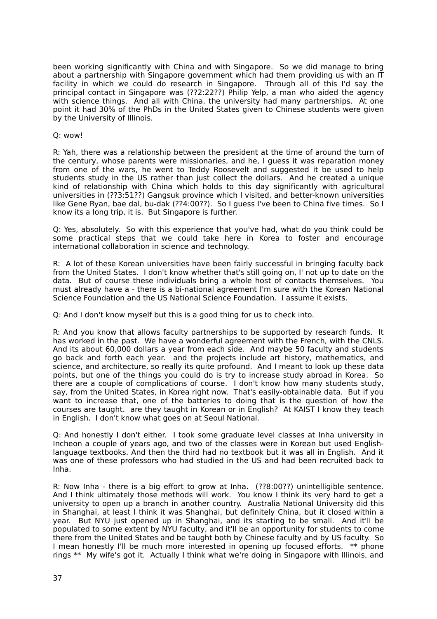been working significantly with China and with Singapore. So we did manage to bring about a partnership with Singapore government which had them providing us with an IT facility in which we could do research in Singapore. Through all of this I'd say the principal contact in Singapore was (??2:22??) Philip Yelp, a man who aided the agency with science things. And all with China, the university had many partnerships. At one point it had 30% of the PhDs in the United States given to Chinese students were given by the University of Illinois.

#### Q: wow!

R: Yah, there was a relationship between the president at the time of around the turn of the century, whose parents were missionaries, and he, I guess it was reparation money from one of the wars, he went to Teddy Roosevelt and suggested it be used to help students study in the US rather than just collect the dollars. And he created a unique kind of relationship with China which holds to this day significantly with agricultural universities in (??3:51??) Gangsuk province which I visited, and better-known universities like Gene Ryan, bae dal, bu-dak (??4:00??). So I guess I've been to China five times. So I know its a long trip, it is. But Singapore is further.

Q: Yes, absolutely. So with this experience that you've had, what do you think could be some practical steps that we could take here in Korea to foster and encourage international collaboration in science and technology.

R: A lot of these Korean universities have been fairly successful in bringing faculty back from the United States. I don't know whether that's still going on, I' not up to date on the data. But of course these individuals bring a whole host of contacts themselves. You must already have a - there is a bi-national agreement I'm sure with the Korean National Science Foundation and the US National Science Foundation. I assume it exists.

Q: And I don't know myself but this is a good thing for us to check into.

R: And you know that allows faculty partnerships to be supported by research funds. It has worked in the past. We have a wonderful agreement with the French, with the CNLS. And its about 60,000 dollars a year from each side. And maybe 50 faculty and students go back and forth each year. and the projects include art history, mathematics, and science, and architecture, so really its quite profound. And I meant to look up these data points, but one of the things you could do is try to increase study abroad in Korea. So there are a couple of complications of course. I don't know how many students study, say, from the United States, in Korea right now. That's easily-obtainable data. But if you want to increase that, one of the batteries to doing that is the question of how the courses are taught. are they taught in Korean or in English? At KAIST I know they teach in English. I don't know what goes on at Seoul National.

Q: And honestly I don't either. I took some graduate level classes at Inha university in Incheon a couple of years ago, and two of the classes were in Korean but used Englishlanguage textbooks. And then the third had no textbook but it was all in English. And it was one of these professors who had studied in the US and had been recruited back to Inha.

R: Now Inha - there is a big effort to grow at Inha. (??8:00??) unintelligible sentence. And I think ultimately those methods will work. You know I think its very hard to get a university to open up a branch in another country. Australia National University did this in Shanghai, at least I think it was Shanghai, but definitely China, but it closed within a year. But NYU just opened up in Shanghai, and its starting to be small. And it'll be populated to some extent by NYU faculty, and it'll be an opportunity for students to come there from the United States and be taught both by Chinese faculty and by US faculty. So I mean honestly I'll be much more interested in opening up focused efforts. \*\* phone rings \*\* My wife's got it. Actually I think what we're doing in Singapore with Illinois, and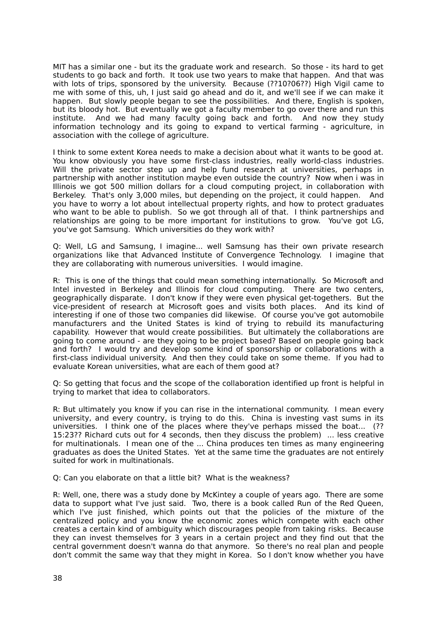MIT has a similar one - but its the graduate work and research. So those - its hard to get students to go back and forth. It took use two years to make that happen. And that was with lots of trips, sponsored by the university. Because (??10?06??) High Vigil came to me with some of this, uh, I just said go ahead and do it, and we'll see if we can make it happen. But slowly people began to see the possibilities. And there, English is spoken, but its bloody hot. But eventually we got a faculty member to go over there and run this institute. And we had many faculty going back and forth. And now they study information technology and its going to expand to vertical farming - agriculture, in association with the college of agriculture.

I think to some extent Korea needs to make a decision about what it wants to be good at. You know obviously you have some first-class industries, really world-class industries. Will the private sector step up and help fund research at universities, perhaps in partnership with another institution maybe even outside the country? Now when i was in Illinois we got 500 million dollars for a cloud computing project, in collaboration with Berkeley. That's only 3,000 miles, but depending on the project, it could happen. And you have to worry a lot about intellectual property rights, and how to protect graduates who want to be able to publish. So we got through all of that. I think partnerships and relationships are going to be more important for institutions to grow. You've got LG, you've got Samsung. Which universities do they work with?

Q: Well, LG and Samsung, I imagine... well Samsung has their own private research organizations like that Advanced Institute of Convergence Technology. I imagine that they are collaborating with numerous universities. I would imagine.

R: This is one of the things that could mean something internationally. So Microsoft and Intel invested in Berkeley and Illinois for cloud computing. There are two centers, geographically disparate. I don't know if they were even physical get-togethers. But the vice-president of research at Microsoft goes and visits both places. And its kind of interesting if one of those two companies did likewise. Of course you've got automobile manufacturers and the United States is kind of trying to rebuild its manufacturing capability. However that would create possibilities. But ultimately the collaborations are going to come around - are they going to be project based? Based on people going back and forth? I would try and develop some kind of sponsorship or collaborations with a first-class individual university. And then they could take on some theme. If you had to evaluate Korean universities, what are each of them good at?

Q: So getting that focus and the scope of the collaboration identified up front is helpful in trying to market that idea to collaborators.

R: But ultimately you know if you can rise in the international community. I mean every university, and every country, is trying to do this. China is investing vast sums in its universities. I think one of the places where they've perhaps missed the boat... (?? 15:23?? Richard cuts out for 4 seconds, then they discuss the problem) ... less creative for multinationals. I mean one of the ... China produces ten times as many engineering graduates as does the United States. Yet at the same time the graduates are not entirely suited for work in multinationals.

Q: Can you elaborate on that a little bit? What is the weakness?

R: Well, one, there was a study done by McKintey a couple of years ago. There are some data to support what I've just said. Two, there is a book called Run of the Red Queen, which I've just finished, which points out that the policies of the mixture of the centralized policy and you know the economic zones which compete with each other creates a certain kind of ambiguity which discourages people from taking risks. Because they can invest themselves for 3 years in a certain project and they find out that the central government doesn't wanna do that anymore. So there's no real plan and people don't commit the same way that they might in Korea. So I don't know whether you have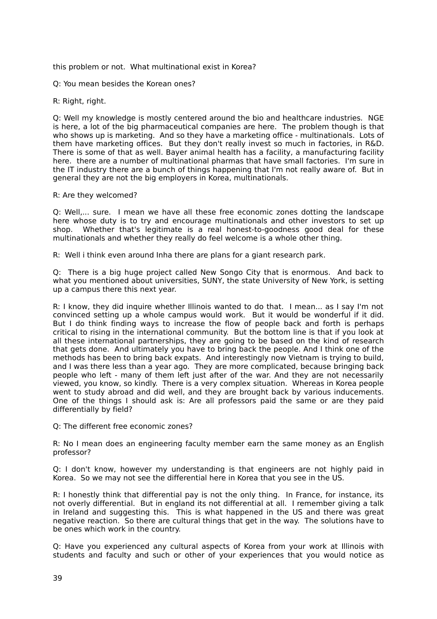this problem or not. What multinational exist in Korea?

Q: You mean besides the Korean ones?

#### R: Right, right.

Q: Well my knowledge is mostly centered around the bio and healthcare industries. NGE is here, a lot of the big pharmaceutical companies are here. The problem though is that who shows up is marketing. And so they have a marketing office - multinationals. Lots of them have marketing offices. But they don't really invest so much in factories, in R&D. There is some of that as well. Bayer animal health has a facility, a manufacturing facility here. there are a number of multinational pharmas that have small factories. I'm sure in the IT industry there are a bunch of things happening that I'm not really aware of. But in general they are not the big employers in Korea, multinationals.

#### R: Are they welcomed?

Q: Well,... sure. I mean we have all these free economic zones dotting the landscape here whose duty is to try and encourage multinationals and other investors to set up shop. Whether that's legitimate is a real honest-to-goodness good deal for these multinationals and whether they really do feel welcome is a whole other thing.

R: Well i think even around Inha there are plans for a giant research park.

Q: There is a big huge project called New Songo City that is enormous. And back to what you mentioned about universities, SUNY, the state University of New York, is setting up a campus there this next year.

R: I know, they did inquire whether Illinois wanted to do that. I mean... as I say I'm not convinced setting up a whole campus would work. But it would be wonderful if it did. But I do think finding ways to increase the flow of people back and forth is perhaps critical to rising in the international community. But the bottom line is that if you look at all these international partnerships, they are going to be based on the kind of research that gets done. And ultimately you have to bring back the people. And I think one of the methods has been to bring back expats. And interestingly now Vietnam is trying to build, and I was there less than a year ago. They are more complicated, because bringing back people who left - many of them left just after of the war. And they are not necessarily viewed, you know, so kindly. There is a very complex situation. Whereas in Korea people went to study abroad and did well, and they are brought back by various inducements. One of the things I should ask is: Are all professors paid the same or are they paid differentially by field?

Q: The different free economic zones?

R: No I mean does an engineering faculty member earn the same money as an English professor?

Q: I don't know, however my understanding is that engineers are not highly paid in Korea. So we may not see the differential here in Korea that you see in the US.

R: I honestly think that differential pay is not the only thing. In France, for instance, its not overly differential. But in england its not differential at all. I remember giving a talk in Ireland and suggesting this. This is what happened in the US and there was great negative reaction. So there are cultural things that get in the way. The solutions have to be ones which work in the country.

Q: Have you experienced any cultural aspects of Korea from your work at Illinois with students and faculty and such or other of your experiences that you would notice as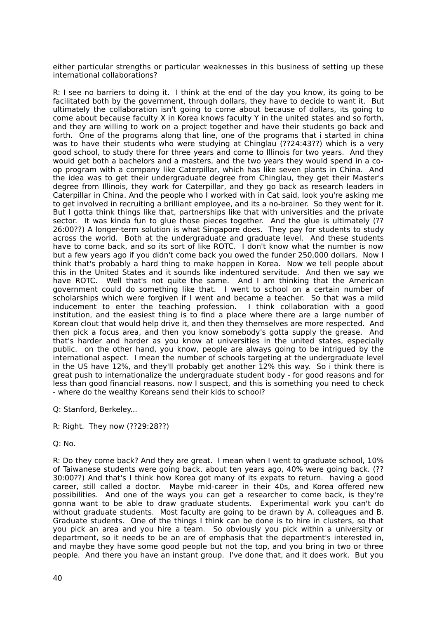either particular strengths or particular weaknesses in this business of setting up these international collaborations?

R: I see no barriers to doing it. I think at the end of the day you know, its going to be facilitated both by the government, through dollars, they have to decide to want it. But ultimately the collaboration isn't going to come about because of dollars, its going to come about because faculty X in Korea knows faculty Y in the united states and so forth, and they are willing to work on a project together and have their students go back and forth. One of the programs along that line, one of the programs that i started in china was to have their students who were studying at Chinglau (??24:43??) which is a very good school, to study there for three years and come to Illinois for two years. And they would get both a bachelors and a masters, and the two years they would spend in a coop program with a company like Caterpillar, which has like seven plants in China. And the idea was to get their undergraduate degree from Chinglau, they get their Master's degree from Illinois, they work for Caterpillar, and they go back as research leaders in Caterpillar in China. And the people who I worked with in Cat said, look you're asking me to get involved in recruiting a brilliant employee, and its a no-brainer. So they went for it. But I gotta think things like that, partnerships like that with universities and the private sector. It was kinda fun to glue those pieces together. And the glue is ultimately (?? 26:00??) A longer-term solution is what Singapore does. They pay for students to study across the world. Both at the undergraduate and graduate level. And these students have to come back, and so its sort of like ROTC. I don't know what the number is now but a few years ago if you didn't come back you owed the funder 250,000 dollars. Now I think that's probably a hard thing to make happen in Korea. Now we tell people about this in the United States and it sounds like indentured servitude. And then we say we have ROTC. Well that's not quite the same. And I am thinking that the American government could do something like that. I went to school on a certain number of scholarships which were forgiven if I went and became a teacher. So that was a mild inducement to enter the teaching profession. I think collaboration with a good institution, and the easiest thing is to find a place where there are a large number of Korean clout that would help drive it, and then they themselves are more respected. And then pick a focus area, and then you know somebody's gotta supply the grease. And that's harder and harder as you know at universities in the united states, especially public. on the other hand, you know, people are always going to be intrigued by the international aspect. I mean the number of schools targeting at the undergraduate level in the US have 12%, and they'll probably get another 12% this way. So i think there is great push to internationalize the undergraduate student body - for good reasons and for less than good financial reasons. now I suspect, and this is something you need to check - where do the wealthy Koreans send their kids to school?

Q: Stanford, Berkeley...

R: Right. They now (??29:28??)

Q: No.

R: Do they come back? And they are great. I mean when I went to graduate school, 10% of Taiwanese students were going back. about ten years ago, 40% were going back. (?? 30:00??) And that's I think how Korea got many of its expats to return. having a good career, still called a doctor. Maybe mid-career in their 40s, and Korea offered new possibilities. And one of the ways you can get a researcher to come back, is they're gonna want to be able to draw graduate students. Experimental work you can't do without graduate students. Most faculty are going to be drawn by A. colleagues and B. Graduate students. One of the things I think can be done is to hire in clusters, so that you pick an area and you hire a team. So obviously you pick within a university or department, so it needs to be an are of emphasis that the department's interested in, and maybe they have some good people but not the top, and you bring in two or three people. And there you have an instant group. I've done that, and it does work. But you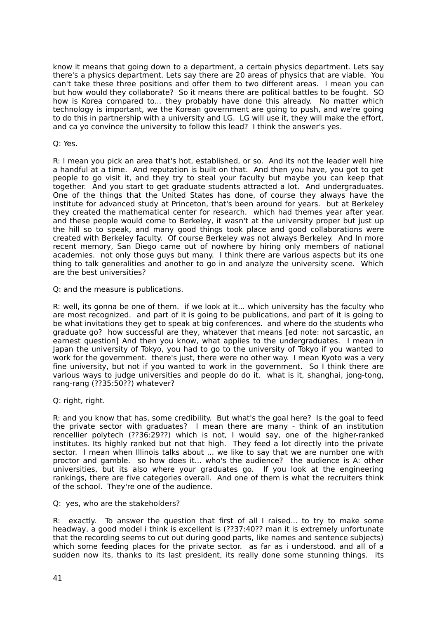know it means that going down to a department, a certain physics department. Lets say there's a physics department. Lets say there are 20 areas of physics that are viable. You can't take these three positions and offer them to two different areas. I mean you can but how would they collaborate? So it means there are political battles to be fought. SO how is Korea compared to... they probably have done this already. No matter which technology is important, we the Korean government are going to push, and we're going to do this in partnership with a university and LG. LG will use it, they will make the effort, and ca yo convince the university to follow this lead? I think the answer's yes.

#### Q: Yes.

R: I mean you pick an area that's hot, established, or so. And its not the leader well hire a handful at a time. And reputation is built on that. And then you have, you got to get people to go visit it, and they try to steal your faculty but maybe you can keep that together. And you start to get graduate students attracted a lot. And undergraduates. One of the things that the United States has done, of course they always have the institute for advanced study at Princeton, that's been around for years. but at Berkeley they created the mathematical center for research. which had themes year after year. and these people would come to Berkeley, it wasn't at the university proper but just up the hill so to speak, and many good things took place and good collaborations were created with Berkeley faculty. Of course Berkeley was not always Berkeley. And In more recent memory, San Diego came out of nowhere by hiring only members of national academies. not only those guys but many. I think there are various aspects but its one thing to talk generalities and another to go in and analyze the university scene. Which are the best universities?

Q: and the measure is publications.

R: well, its gonna be one of them. if we look at it... which university has the faculty who are most recognized. and part of it is going to be publications, and part of it is going to be what invitations they get to speak at big conferences. and where do the students who graduate go? how successful are they, whatever that means [ed note: not sarcastic, an earnest question] And then you know, what applies to the undergraduates. I mean in Japan the university of Tokyo, you had to go to the university of Tokyo if you wanted to work for the government. there's just, there were no other way. I mean Kyoto was a very fine university, but not if you wanted to work in the government. So I think there are various ways to judge universities and people do do it. what is it, shanghai, jong-tong, rang-rang (??35:50??) whatever?

Q: right, right.

R: and you know that has, some credibility. But what's the goal here? Is the goal to feed the private sector with graduates? I mean there are many - think of an institution rencellier polytech (??36:29??) which is not, I would say, one of the higher-ranked institutes. Its highly ranked but not that high. They feed a lot directly into the private sector. I mean when Illinois talks about ... we like to say that we are number one with proctor and gamble. so how does it... who's the audience? the audience is A: other universities, but its also where your graduates go. If you look at the engineering rankings, there are five categories overall. And one of them is what the recruiters think of the school. They're one of the audience.

Q: yes, who are the stakeholders?

R: exactly. To answer the question that first of all I raised... to try to make some headway, a good model i think is excellent is (??37:40?? man it is extremely unfortunate that the recording seems to cut out during good parts, like names and sentence subjects) which some feeding places for the private sector. as far as i understood. and all of a sudden now its, thanks to its last president, its really done some stunning things. its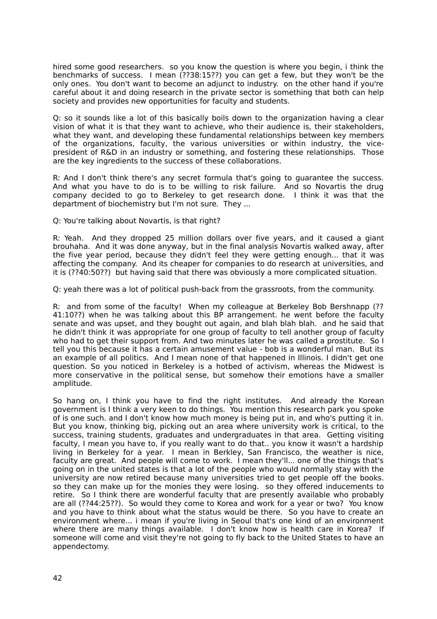hired some good researchers. so you know the question is where you begin, i think the benchmarks of success. I mean (??38:15??) you can get a few, but they won't be the only ones. You don't want to become an adjunct to industry. on the other hand if you're careful about it and doing research in the private sector is something that both can help society and provides new opportunities for faculty and students.

Q: so it sounds like a lot of this basically boils down to the organization having a clear vision of what it is that they want to achieve, who their audience is, their stakeholders, what they want, and developing these fundamental relationships between key members of the organizations, faculty, the various universities or within industry, the vicepresident of R&D in an industry or something, and fostering these relationships. Those are the key ingredients to the success of these collaborations.

R: And I don't think there's any secret formula that's going to guarantee the success. And what you have to do is to be willing to risk failure. And so Novartis the drug company decided to go to Berkeley to get research done. I think it was that the department of biochemistry but I'm not sure. They ...

Q: You're talking about Novartis, is that right?

R: Yeah. And they dropped 25 million dollars over five years, and it caused a giant brouhaha. And it was done anyway, but in the final analysis Novartis walked away, after the five year period, because they didn't feel they were getting enough... that it was affecting the company. And its cheaper for companies to do research at universities, and it is (??40:50??) but having said that there was obviously a more complicated situation.

Q: yeah there was a lot of political push-back from the grassroots, from the community.

R: and from some of the faculty! When my colleague at Berkeley Bob Bershnapp (?? 41:10??) when he was talking about this BP arrangement. he went before the faculty senate and was upset, and they bought out again, and blah blah blah. and he said that he didn't think it was appropriate for one group of faculty to tell another group of faculty who had to get their support from. And two minutes later he was called a prostitute. So I tell you this because it has a certain amusement value - bob is a wonderful man. But its an example of all politics. And I mean none of that happened in Illinois. I didn't get one question. So you noticed in Berkeley is a hotbed of activism, whereas the Midwest is more conservative in the political sense, but somehow their emotions have a smaller amplitude.

So hang on, I think you have to find the right institutes. And already the Korean government is I think a very keen to do things. You mention this research park you spoke of is one such. and I don't know how much money is being put in, and who's putting it in. But you know, thinking big, picking out an area where university work is critical, to the success, training students, graduates and undergraduates in that area. Getting visiting faculty, I mean you have to, if you really want to do that.. you know it wasn't a hardship living in Berkeley for a year. I mean in Berkley, San Francisco, the weather is nice, faculty are great. And people will come to work. I mean they'll... one of the things that's going on in the united states is that a lot of the people who would normally stay with the university are now retired because many universities tried to get people off the books. so they can make up for the monies they were losing. so they offered inducements to retire. So I think there are wonderful faculty that are presently available who probably are all (??44:25??). So would they come to Korea and work for a year or two? You know and you have to think about what the status would be there. So you have to create an environment where... i mean if you're living in Seoul that's one kind of an environment where there are many things available. I don't know how is health care in Korea? If someone will come and visit they're not going to fly back to the United States to have an appendectomy.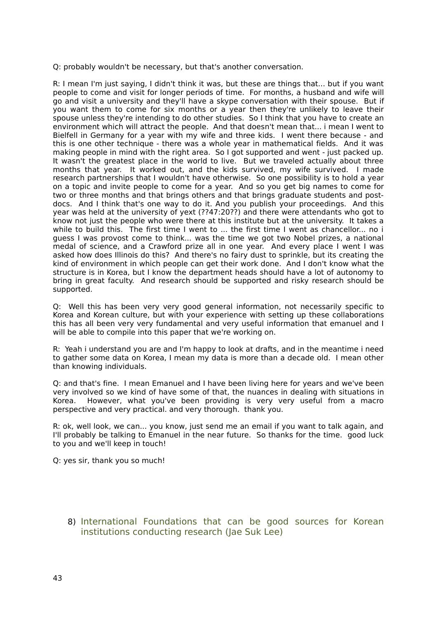Q: probably wouldn't be necessary, but that's another conversation.

R: I mean I'm just saying, I didn't think it was, but these are things that... but if you want people to come and visit for longer periods of time. For months, a husband and wife will go and visit a university and they'll have a skype conversation with their spouse. But if you want them to come for six months or a year then they're unlikely to leave their spouse unless they're intending to do other studies. So I think that you have to create an environment which will attract the people. And that doesn't mean that... i mean I went to Bielfell in Germany for a year with my wife and three kids. I went there because - and this is one other technique - there was a whole year in mathematical fields. And it was making people in mind with the right area. So I got supported and went - just packed up. It wasn't the greatest place in the world to live. But we traveled actually about three months that year. It worked out, and the kids survived, my wife survived. I made research partnerships that I wouldn't have otherwise. So one possibility is to hold a year on a topic and invite people to come for a year. And so you get big names to come for two or three months and that brings others and that brings graduate students and postdocs. And I think that's one way to do it. And you publish your proceedings. And this year was held at the university of yext (??47:20??) and there were attendants who got to know not just the people who were there at this institute but at the university. It takes a while to build this. The first time I went to ... the first time I went as chancellor... no i guess I was provost come to think... was the time we got two Nobel prizes, a national medal of science, and a Crawford prize all in one year. And every place I went I was asked how does Illinois do this? And there's no fairy dust to sprinkle, but its creating the kind of environment in which people can get their work done. And I don't know what the structure is in Korea, but I know the department heads should have a lot of autonomy to bring in great faculty. And research should be supported and risky research should be supported.

Q: Well this has been very very good general information, not necessarily specific to Korea and Korean culture, but with your experience with setting up these collaborations this has all been very very fundamental and very useful information that emanuel and I will be able to compile into this paper that we're working on.

R: Yeah i understand you are and I'm happy to look at drafts, and in the meantime i need to gather some data on Korea, I mean my data is more than a decade old. I mean other than knowing individuals.

Q: and that's fine. I mean Emanuel and I have been living here for years and we've been very involved so we kind of have some of that, the nuances in dealing with situations in Korea. However, what you've been providing is very very useful from a macro perspective and very practical. and very thorough. thank you.

R: ok, well look, we can... you know, just send me an email if you want to talk again, and I'll probably be talking to Emanuel in the near future. So thanks for the time. good luck to you and we'll keep in touch!

Q: yes sir, thank you so much!

8) International Foundations that can be good sources for Korean institutions conducting research (Jae Suk Lee)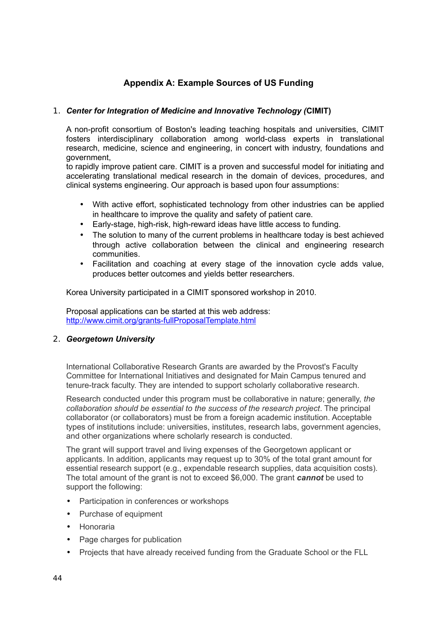## **Appendix A: Example Sources of US Funding**

## 1. *Center for Integration of Medicine and Innovative Technology (***CIMIT)**

A non-profit consortium of Boston's leading teaching hospitals and universities, CIMIT fosters interdisciplinary collaboration among world-class experts in translational research, medicine, science and engineering, in concert with industry, foundations and government,

to rapidly improve patient care. CIMIT is a proven and successful model for initiating and accelerating translational medical research in the domain of devices, procedures, and clinical systems engineering. Our approach is based upon four assumptions:

- With active effort, sophisticated technology from other industries can be applied in healthcare to improve the quality and safety of patient care.
- Early-stage, high-risk, high-reward ideas have little access to funding.
- The solution to many of the current problems in healthcare today is best achieved through active collaboration between the clinical and engineering research communities.
- Facilitation and coaching at every stage of the innovation cycle adds value, produces better outcomes and yields better researchers.

Korea University participated in a CIMIT sponsored workshop in 2010.

Proposal applications can be started at this web address: <http://www.cimit.org/grants-fullProposalTemplate.html>

### 2. *Georgetown University*

International Collaborative Research Grants are awarded by the Provost's Faculty Committee for International Initiatives and designated for Main Campus tenured and tenure-track faculty. They are intended to support scholarly collaborative research.

Research conducted under this program must be collaborative in nature; generally, *the collaboration should be essential to the success of the research project*. The principal collaborator (or collaborators) must be from a foreign academic institution. Acceptable types of institutions include: universities, institutes, research labs, government agencies, and other organizations where scholarly research is conducted.

The grant will support travel and living expenses of the Georgetown applicant or applicants. In addition, applicants may request up to 30% of the total grant amount for essential research support (e.g., expendable research supplies, data acquisition costs). The total amount of the grant is not to exceed \$6,000. The grant *cannot* be used to support the following:

- Participation in conferences or workshops
- Purchase of equipment
- Honoraria
- Page charges for publication
- Projects that have already received funding from the Graduate School or the FLL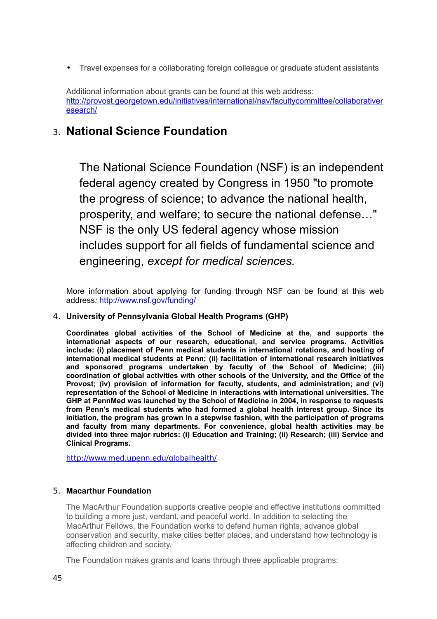• Travel expenses for a collaborating foreign colleague or graduate student assistants

Additional information about grants can be found at this web address: [http://provost.georgetown.edu/initiatives/international/nav/facultycommittee/collaborativer](http://provost.georgetown.edu/initiatives/international/nav/facultycommittee/collaborativeresearch/) [esearch/](http://provost.georgetown.edu/initiatives/international/nav/facultycommittee/collaborativeresearch/)

## 3. **National Science Foundation**

The National Science Foundation (NSF) is an independent federal agency created by Congress in 1950 "to promote the progress of science; to advance the national health, prosperity, and welfare; to secure the national defense…" NSF is the only US federal agency whose mission includes support for all fields of fundamental science and engineering, *except for medical sciences.*

More information about applying for funding through NSF can be found at this web address*:* <http://www.nsf.gov/funding/>

### 4. **University of Pennsylvania Global Health Programs (GHP)**

**Coordinates global activities of the School of Medicine at the, and supports the international aspects of our research, educational, and service programs. Activities include: (i) placement of Penn medical students in international rotations, and hosting of international medical students at Penn; (ii) facilitation of international research initiatives and sponsored programs undertaken by faculty of the School of Medicine; (iii) coordination of global activities with other schools of the University, and the Office of the Provost; (iv) provision of information for faculty, students, and administration; and (vi) representation of the School of Medicine in interactions with international universities. The GHP at PennMed was launched by the School of Medicine in 2004, in response to requests from Penn's medical students who had formed a global health interest group. Since its initiation, the program has grown in a stepwise fashion, with the participation of programs and faculty from many departments. For convenience, global health activities may be divided into three major rubrics: (i) Education and Training; (ii) Research; (iii) Service and Clinical Programs.**

<http://www.med.upenn.edu/globalhealth/>

### 5. **Macarthur Foundation**

The MacArthur Foundation supports creative people and effective institutions committed to building a more just, verdant, and peaceful world. In addition to selecting the MacArthur Fellows, the Foundation works to defend human rights, advance global conservation and security, make cities better places, and understand how technology is affecting children and society.

The Foundation makes grants and loans through three applicable programs: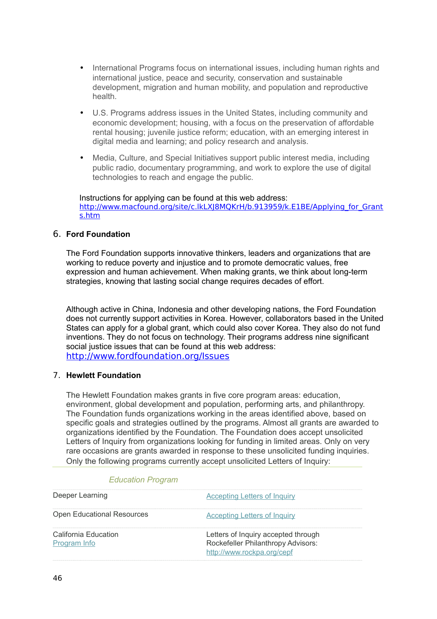- International Programs focus on international issues, including human rights and international justice, peace and security, conservation and sustainable development, migration and human mobility, and population and reproductive health.
- U.S. Programs address issues in the United States, including community and economic development; housing, with a focus on the preservation of affordable rental housing; juvenile justice reform; education, with an emerging interest in digital media and learning; and policy research and analysis.
- Media, Culture, and Special Initiatives support public interest media, including public radio, documentary programming, and work to explore the use of digital technologies to reach and engage the public.

Instructions for applying can be found at this web address: [http://www.macfound.org/site/c.lkLXJ8MQKrH/b.913959/k.E1BE/Applying\\_for\\_Grant](http://www.macfound.org/site/c.lkLXJ8MQKrH/b.913959/k.E1BE/Applying_for_Grants.htm) [s.htm](http://www.macfound.org/site/c.lkLXJ8MQKrH/b.913959/k.E1BE/Applying_for_Grants.htm)

### 6. **Ford Foundation**

The Ford Foundation supports innovative thinkers, leaders and organizations that are working to reduce poverty and injustice and to promote democratic values, free expression and human achievement. When making grants, we think about long-term strategies, knowing that lasting social change requires decades of effort.

Although active in China, Indonesia and other developing nations, the Ford Foundation does not currently support activities in Korea. However, collaborators based in the United States can apply for a global grant, which could also cover Korea. They also do not fund inventions. They do not focus on technology. Their programs address nine significant social justice issues that can be found at this web address: <http://www.fordfoundation.org/Issues>

### 7. **Hewlett Foundation**

The Hewlett Foundation makes grants in five core program areas: education, environment, global development and population, performing arts, and philanthropy. The Foundation funds organizations working in the areas identified above, based on specific goals and strategies outlined by the programs. Almost all grants are awarded to organizations identified by the Foundation. The Foundation does accept unsolicited Letters of Inquiry from organizations looking for funding in limited areas. Only on very rare occasions are grants awarded in response to these unsolicited funding inquiries. Only the following programs currently accept unsolicited Letters of Inquiry:

| Deeper Learning                      | <b>Accepting Letters of Inquiry</b>                                                                     |
|--------------------------------------|---------------------------------------------------------------------------------------------------------|
| <b>Open Educational Resources</b>    | <b>Accepting Letters of Inquiry</b>                                                                     |
| California Education<br>Program Info | Letters of Inquiry accepted through<br>Rockefeller Philanthropy Advisors:<br>http://www.rockpa.org/cepf |

### *Education Program*